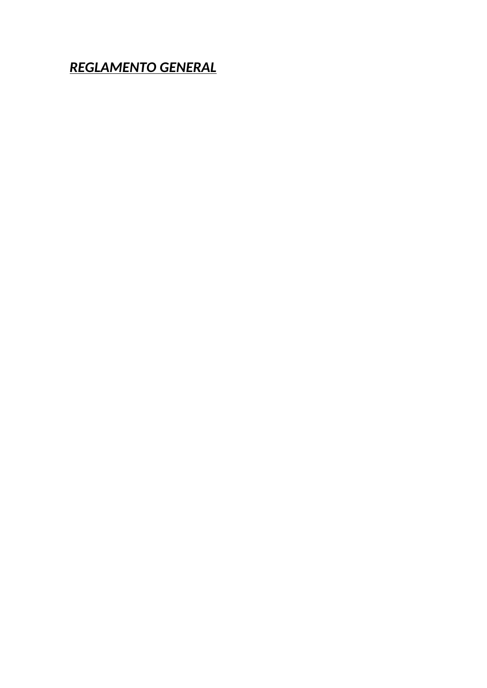*REGLAMENTO GENERAL*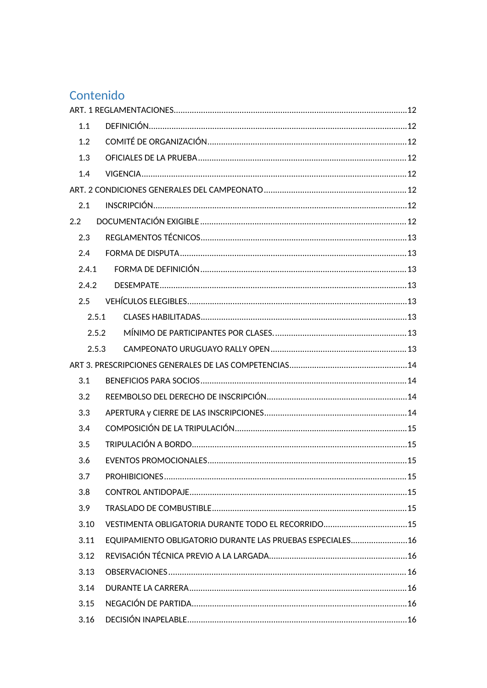# Contenido

| 1.1   |       |                                                           |  |
|-------|-------|-----------------------------------------------------------|--|
| 1.2   |       |                                                           |  |
| 1.3   |       |                                                           |  |
| 1.4   |       |                                                           |  |
|       |       |                                                           |  |
| 2.1   |       |                                                           |  |
| 2.2   |       |                                                           |  |
| 2.3   |       |                                                           |  |
| 2.4   |       |                                                           |  |
| 2.4.1 |       |                                                           |  |
| 2.4.2 |       |                                                           |  |
| 2.5   |       |                                                           |  |
|       | 2.5.1 |                                                           |  |
|       | 2.5.2 |                                                           |  |
|       | 2.5.3 |                                                           |  |
|       |       |                                                           |  |
| 3.1   |       |                                                           |  |
| 3.2   |       |                                                           |  |
| 3.3   |       |                                                           |  |
| 3.4   |       |                                                           |  |
| 3.5   |       |                                                           |  |
| 3.6   |       |                                                           |  |
| 3.7   |       |                                                           |  |
| 3.8   |       |                                                           |  |
| 3.9   |       |                                                           |  |
| 3.10  |       |                                                           |  |
| 3.11  |       | EQUIPAMIENTO OBLIGATORIO DURANTE LAS PRUEBAS ESPECIALES16 |  |
| 3.12  |       |                                                           |  |
| 3.13  |       |                                                           |  |
| 3.14  |       |                                                           |  |
| 3.15  |       |                                                           |  |
| 3.16  |       |                                                           |  |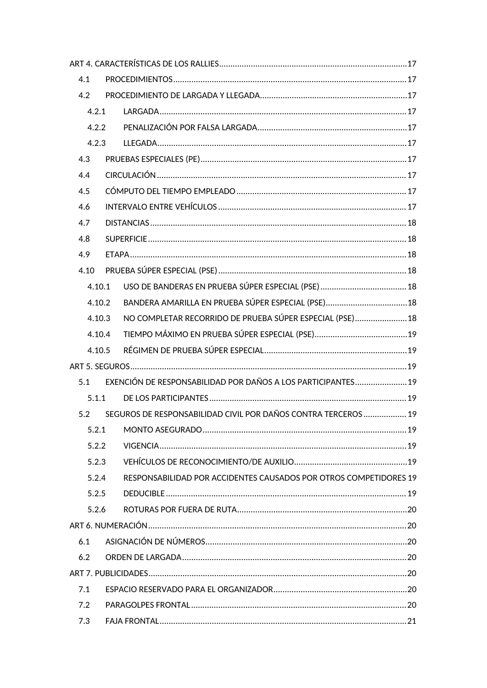| 4.1  |        |                                                                   |  |
|------|--------|-------------------------------------------------------------------|--|
| 4.2  |        |                                                                   |  |
|      | 4.2.1  |                                                                   |  |
|      | 4.2.2  |                                                                   |  |
|      | 4.2.3  |                                                                   |  |
| 4.3  |        |                                                                   |  |
| 4.4  |        |                                                                   |  |
| 4.5  |        |                                                                   |  |
| 4.6  |        |                                                                   |  |
| 4.7  |        |                                                                   |  |
| 4.8  |        |                                                                   |  |
| 4.9  |        |                                                                   |  |
| 4.10 |        |                                                                   |  |
|      | 4.10.1 |                                                                   |  |
|      | 4.10.2 | BANDERA AMARILLA EN PRUEBA SÚPER ESPECIAL (PSE) 18                |  |
|      | 4.10.3 | NO COMPLETAR RECORRIDO DE PRUEBA SÚPER ESPECIAL (PSE) 18          |  |
|      | 4.10.4 |                                                                   |  |
|      | 4.10.5 |                                                                   |  |
|      |        |                                                                   |  |
| 5.1  |        | EXENCIÓN DE RESPONSABILIDAD POR DAÑOS A LOS PARTICIPANTES 19      |  |
|      | 5.1.1  |                                                                   |  |
| 5.2  |        | SEGUROS DE RESPONSABILIDAD CIVIL POR DAÑOS CONTRA TERCEROS  19    |  |
|      | 5.2.1  |                                                                   |  |
|      | 5.2.2  |                                                                   |  |
|      | 5.2.3  |                                                                   |  |
|      | 5.2.4  | RESPONSABILIDAD POR ACCIDENTES CAUSADOS POR OTROS COMPETIDORES 19 |  |
|      | 5.2.5  |                                                                   |  |
|      | 5.2.6  |                                                                   |  |
|      |        |                                                                   |  |
| 6.1  |        |                                                                   |  |
| 6.2  |        |                                                                   |  |
|      |        |                                                                   |  |
| 7.1  |        |                                                                   |  |
| 7.2  |        |                                                                   |  |
| 7.3  |        |                                                                   |  |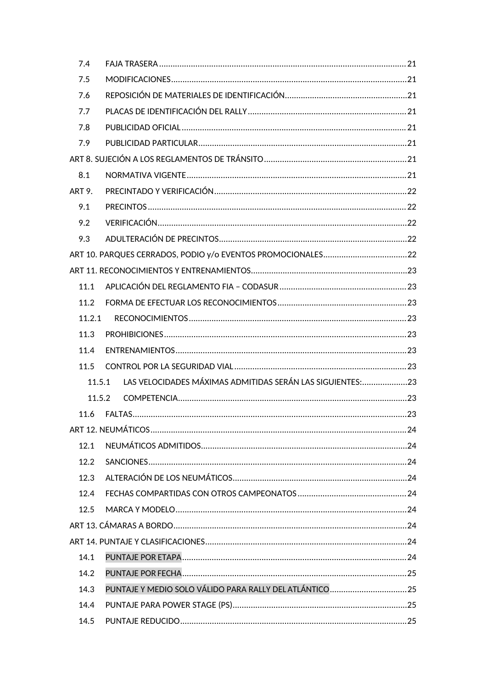| 7.4    |                                                            |  |
|--------|------------------------------------------------------------|--|
| 7.5    |                                                            |  |
| 7.6    |                                                            |  |
| 7.7    |                                                            |  |
| 7.8    |                                                            |  |
| 7.9    |                                                            |  |
|        |                                                            |  |
| 8.1    |                                                            |  |
| ART 9. |                                                            |  |
| 9.1    |                                                            |  |
| 9.2    |                                                            |  |
| 9.3    |                                                            |  |
|        |                                                            |  |
|        |                                                            |  |
| 11.1   |                                                            |  |
| 11.2   |                                                            |  |
| 11.2.1 |                                                            |  |
| 11.3   |                                                            |  |
| 11.4   |                                                            |  |
| 11.5   |                                                            |  |
| 11.5.1 | LAS VELOCIDADES MÁXIMAS ADMITIDAS SERÁN LAS SIGUIENTES: 23 |  |
| 11.5.2 |                                                            |  |
| 11.6   |                                                            |  |
|        |                                                            |  |
| 12.1   |                                                            |  |
| 12.2   |                                                            |  |
| 12.3   |                                                            |  |
| 12.4   |                                                            |  |
| 12.5   |                                                            |  |
|        |                                                            |  |
|        |                                                            |  |
| 14.1   |                                                            |  |
| 14.2   |                                                            |  |
| 14.3   | PUNTAJE Y MEDIO SOLO VÁLIDO PARA RALLY DEL ATLÁNTICO  25   |  |
| 14.4   |                                                            |  |
| 14.5   |                                                            |  |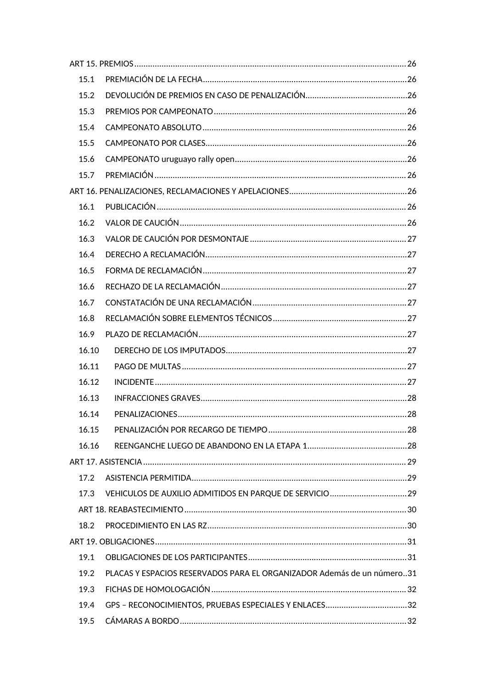| 15.1  |                                                                        |  |
|-------|------------------------------------------------------------------------|--|
| 15.2  |                                                                        |  |
| 15.3  |                                                                        |  |
| 15.4  |                                                                        |  |
| 15.5  |                                                                        |  |
| 15.6  |                                                                        |  |
| 15.7  |                                                                        |  |
|       |                                                                        |  |
| 16.1  |                                                                        |  |
| 16.2  |                                                                        |  |
| 16.3  |                                                                        |  |
| 16.4  |                                                                        |  |
| 16.5  |                                                                        |  |
| 16.6  |                                                                        |  |
| 16.7  |                                                                        |  |
| 16.8  |                                                                        |  |
| 16.9  |                                                                        |  |
| 16.10 |                                                                        |  |
| 16.11 |                                                                        |  |
| 16.12 |                                                                        |  |
| 16.13 |                                                                        |  |
| 16.14 |                                                                        |  |
| 16.15 |                                                                        |  |
| 16.16 |                                                                        |  |
|       |                                                                        |  |
| 17.2  |                                                                        |  |
| 17.3  | VEHICULOS DE AUXILIO ADMITIDOS EN PARQUE DE SERVICIO29                 |  |
|       |                                                                        |  |
| 18.2  |                                                                        |  |
|       |                                                                        |  |
| 19.1  |                                                                        |  |
| 19.2  | PLACAS Y ESPACIOS RESERVADOS PARA EL ORGANIZADOR Además de un número31 |  |
| 19.3  |                                                                        |  |
| 19.4  | GPS - RECONOCIMIENTOS, PRUEBAS ESPECIALES Y ENLACES32                  |  |
| 19.5  |                                                                        |  |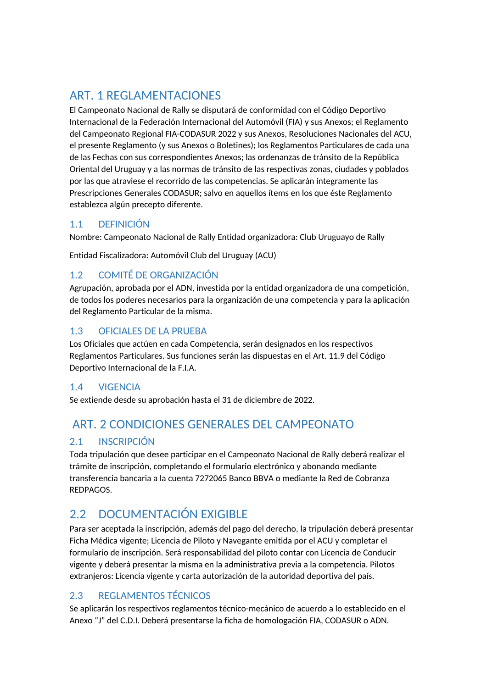# <span id="page-6-0"></span>ART. 1 REGLAMENTACIONES

El Campeonato Nacional de Rally se disputará de conformidad con el Código Deportivo Internacional de la Federación Internacional del Automóvil (FIA) y sus Anexos; el Reglamento del Campeonato Regional FIA-CODASUR 2022 y sus Anexos, Resoluciones Nacionales del ACU, el presente Reglamento (y sus Anexos o Boletines); los Reglamentos Particulares de cada una de las Fechas con sus correspondientes Anexos; las ordenanzas de tránsito de la República Oriental del Uruguay y a las normas de tránsito de las respectivas zonas, ciudades y poblados por las que atraviese el recorrido de las competencias. Se aplicarán íntegramente las Prescripciones Generales CODASUR; salvo en aquellos ítems en los que éste Reglamento establezca algún precepto diferente.

## <span id="page-6-1"></span>1.1 DEFINICIÓN

Nombre: Campeonato Nacional de Rally Entidad organizadora: Club Uruguayo de Rally

Entidad Fiscalizadora: Automóvil Club del Uruguay (ACU)

## <span id="page-6-2"></span>1.2 COMITÉ DE ORGANIZACIÓN

Agrupación, aprobada por el ADN, investida por la entidad organizadora de una competición, de todos los poderes necesarios para la organización de una competencia y para la aplicación del Reglamento Particular de la misma.

## <span id="page-6-3"></span>1.3 OFICIALES DE LA PRUEBA

Los Oficiales que actúen en cada Competencia, serán designados en los respectivos Reglamentos Particulares. Sus funciones serán las dispuestas en el Art. 11.9 del Código Deportivo Internacional de la F.I.A.

## <span id="page-6-4"></span>1.4 VIGENCIA

Se extiende desde su aprobación hasta el 31 de diciembre de 2022.

# <span id="page-6-5"></span>ART. 2 CONDICIONES GENERALES DEL CAMPEONATO

## <span id="page-6-6"></span>2.1 INSCRIPCIÓN

Toda tripulación que desee participar en el Campeonato Nacional de Rally deberá realizar el trámite de inscripción, completando el formulario electrónico y abonando mediante transferencia bancaria a la cuenta 7272065 Banco BBVA o mediante la Red de Cobranza REDPAGOS.

# <span id="page-6-7"></span>2.2 DOCUMENTACIÓN EXIGIBI F

Para ser aceptada la inscripción, además del pago del derecho, la tripulación deberá presentar Ficha Médica vigente; Licencia de Piloto y Navegante emitida por el ACU y completar el formulario de inscripción. Será responsabilidad del piloto contar con Licencia de Conducir vigente y deberá presentar la misma en la administrativa previa a la competencia. Pilotos extranjeros: Licencia vigente y carta autorización de la autoridad deportiva del país.

## <span id="page-6-8"></span>2.3 REGLAMENTOS TÉCNICOS

Se aplicarán los respectivos reglamentos técnico-mecánico de acuerdo a lo establecido en el Anexo "J" del C.D.I. Deberá presentarse la ficha de homologación FIA, CODASUR o ADN.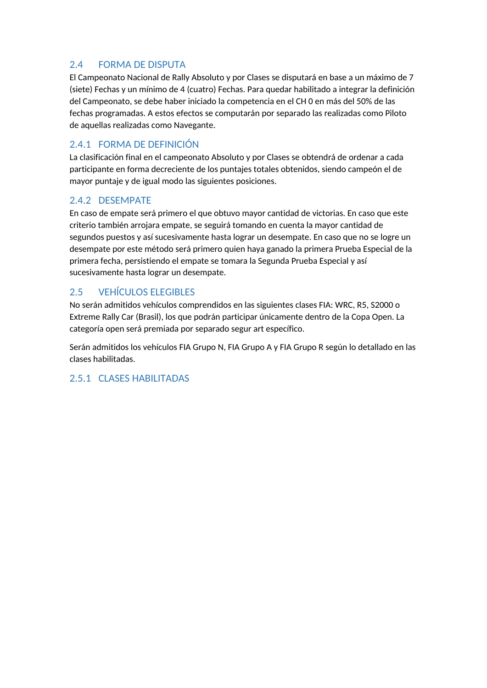## <span id="page-7-0"></span>2.4 FORMA DE DISPUTA

El Campeonato Nacional de Rally Absoluto y por Clases se disputará en base a un máximo de 7 (siete) Fechas y un mínimo de 4 (cuatro) Fechas. Para quedar habilitado a integrar la definición del Campeonato, se debe haber iniciado la competencia en el CH 0 en más del 50% de las fechas programadas. A estos efectos se computarán por separado las realizadas como Piloto de aquellas realizadas como Navegante.

## <span id="page-7-1"></span>2.4.1 FORMA DE DEFINICIÓN

La clasificación final en el campeonato Absoluto y por Clases se obtendrá de ordenar a cada participante en forma decreciente de los puntajes totales obtenidos, siendo campeón el de mayor puntaje y de igual modo las siguientes posiciones.

## <span id="page-7-2"></span>2.4.2 DESEMPATE

En caso de empate será primero el que obtuvo mayor cantidad de victorias. En caso que este criterio también arrojara empate, se seguirá tomando en cuenta la mayor cantidad de segundos puestos y así sucesivamente hasta lograr un desempate. En caso que no se logre un desempate por este método será primero quien haya ganado la primera Prueba Especial de la primera fecha, persistiendo el empate se tomara la Segunda Prueba Especial y así sucesivamente hasta lograr un desempate.

## <span id="page-7-3"></span>2.5 VEHÍCULOS ELEGIBLES

No serán admitidos vehículos comprendidos en las siguientes clases FIA: WRC, R5, S2000 o Extreme Rally Car (Brasil), los que podrán participar únicamente dentro de la Copa Open. La categoría open será premiada por separado segur art específico.

Serán admitidos los vehículos FIA Grupo N, FIA Grupo A y FIA Grupo R según lo detallado en las clases habilitadas.

## 2.5.1 CLASES HABILITADAS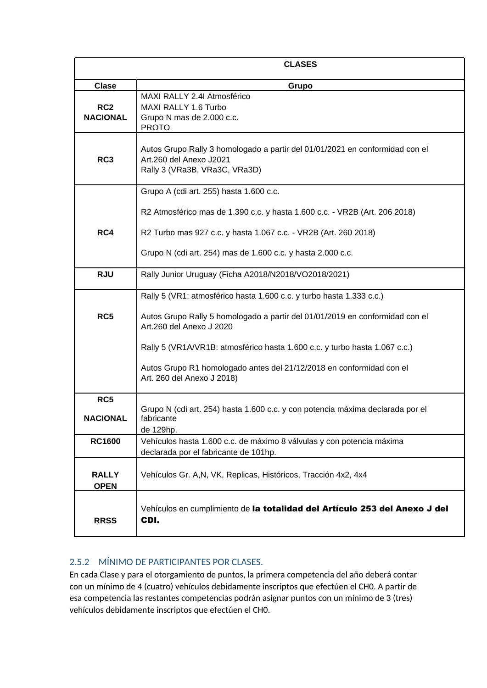<span id="page-8-0"></span>

|                                    | <b>CLASES</b>                                                                                                                            |  |  |  |  |
|------------------------------------|------------------------------------------------------------------------------------------------------------------------------------------|--|--|--|--|
| <b>Clase</b>                       | Grupo                                                                                                                                    |  |  |  |  |
| RC <sub>2</sub><br><b>NACIONAL</b> | MAXI RALLY 2.4I Atmosférico<br>MAXI RALLY 1.6 Turbo<br>Grupo N mas de 2.000 c.c.<br><b>PROTO</b>                                         |  |  |  |  |
| RC <sub>3</sub>                    | Autos Grupo Rally 3 homologado a partir del 01/01/2021 en conformidad con el<br>Art.260 del Anexo J2021<br>Rally 3 (VRa3B, VRa3C, VRa3D) |  |  |  |  |
|                                    | Grupo A (cdi art. 255) hasta 1.600 c.c.                                                                                                  |  |  |  |  |
|                                    | R2 Atmosférico mas de 1.390 c.c. y hasta 1.600 c.c. - VR2B (Art. 206 2018)                                                               |  |  |  |  |
| RC4                                | R2 Turbo mas 927 c.c. y hasta 1.067 c.c. - VR2B (Art. 260 2018)                                                                          |  |  |  |  |
|                                    | Grupo N (cdi art. 254) mas de 1.600 c.c. y hasta 2.000 c.c.                                                                              |  |  |  |  |
| <b>RJU</b>                         | Rally Junior Uruguay (Ficha A2018/N2018/VO2018/2021)                                                                                     |  |  |  |  |
|                                    | Rally 5 (VR1: atmosférico hasta 1.600 c.c. y turbo hasta 1.333 c.c.)                                                                     |  |  |  |  |
| RC5                                | Autos Grupo Rally 5 homologado a partir del 01/01/2019 en conformidad con el<br>Art.260 del Anexo J 2020                                 |  |  |  |  |
|                                    | Rally 5 (VR1A/VR1B: atmosférico hasta 1.600 c.c. y turbo hasta 1.067 c.c.)                                                               |  |  |  |  |
|                                    | Autos Grupo R1 homologado antes del 21/12/2018 en conformidad con el<br>Art. 260 del Anexo J 2018)                                       |  |  |  |  |
| RC5                                |                                                                                                                                          |  |  |  |  |
| <b>NACIONAL</b>                    | Grupo N (cdi art. 254) hasta 1.600 c.c. y con potencia máxima declarada por el<br>fabricante<br>de 129hp.                                |  |  |  |  |
| <b>RC1600</b>                      | Vehículos hasta 1.600 c.c. de máximo 8 válvulas y con potencia máxima<br>declarada por el fabricante de 101hp.                           |  |  |  |  |
| <b>RALLY</b><br><b>OPEN</b>        | Vehículos Gr. A,N, VK, Replicas, Históricos, Tracción 4x2, 4x4                                                                           |  |  |  |  |
| <b>RRSS</b>                        | Vehículos en cumplimiento de la totalidad del Artículo 253 del Anexo J del<br>CDI.                                                       |  |  |  |  |

## 2.5.2 MÍNIMO DE PARTICIPANTES POR CLASES.

En cada Clase y para el otorgamiento de puntos, la primera competencia del año deberá contar con un mínimo de 4 (cuatro) vehículos debidamente inscriptos que efectúen el CH0. A partir de esa competencia las restantes competencias podrán asignar puntos con un mínimo de 3 (tres) vehículos debidamente inscriptos que efectúen el CH0.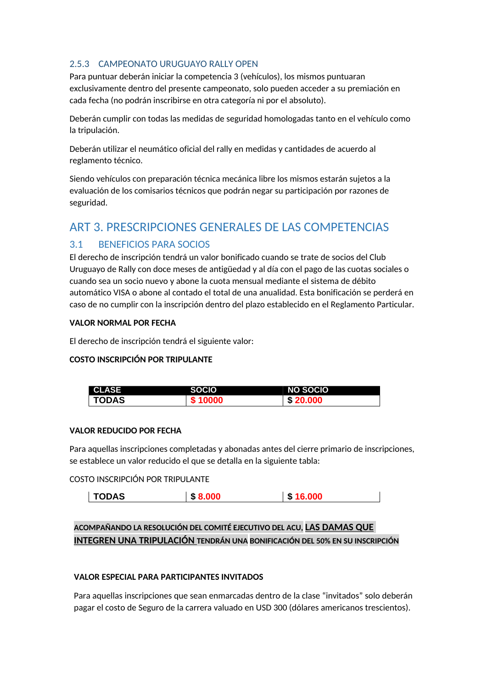#### <span id="page-9-0"></span>2.5.3 CAMPEONATO URUGUAYO RALLY OPEN

Para puntuar deberán iniciar la competencia 3 (vehículos), los mismos puntuaran exclusivamente dentro del presente campeonato, solo pueden acceder a su premiación en cada fecha (no podrán inscribirse en otra categoría ni por el absoluto).

Deberán cumplir con todas las medidas de seguridad homologadas tanto en el vehículo como la tripulación.

Deberán utilizar el neumático oficial del rally en medidas y cantidades de acuerdo al reglamento técnico.

Siendo vehículos con preparación técnica mecánica libre los mismos estarán sujetos a la evaluación de los comisarios técnicos que podrán negar su participación por razones de seguridad.

## <span id="page-9-1"></span>ART 3. PRESCRIPCIONES GENERALES DE LAS COMPETENCIAS

### <span id="page-9-2"></span>3.1 BENEFICIOS PARA SOCIOS

El derecho de inscripción tendrá un valor bonificado cuando se trate de socios del Club Uruguayo de Rally con doce meses de antigüedad y al día con el pago de las cuotas sociales o cuando sea un socio nuevo y abone la cuota mensual mediante el sistema de débito automático VISA o abone al contado el total de una anualidad. Esta bonificación se perderá en caso de no cumplir con la inscripción dentro del plazo establecido en el Reglamento Particular.

#### **VALOR NORMAL POR FECHA**

El derecho de inscripción tendrá el siguiente valor:

#### **COSTO INSCRIPCIÓN POR TRIPULANTE**

| <b>CLASE</b> | <b>SOCIO</b> | <b>NO SOCIO</b> |
|--------------|--------------|-----------------|
| <b>TODAS</b> | \$10000      | \$20.000        |

#### **VALOR REDUCIDO POR FECHA**

Para aquellas inscripciones completadas y abonadas antes del cierre primario de inscripciones, se establece un valor reducido el que se detalla en la siguiente tabla:

#### COSTO INSCRIPCIÓN POR TRIPULANTE

| TODAS<br>æ<br>л. | .<br>- 79 |
|------------------|-----------|
|------------------|-----------|

## **ACOMPAÑANDO LA RESOLUCIÓN DEL COMITÉ EJECUTIVO DEL ACU, LAS DAMAS QUE INTEGREN UNA TRIPULACIÓN TENDRÁN UNA BONIFICACIÓN DEL 50% EN SU INSCRIPCIÓN**

#### **VALOR ESPECIAL PARA PARTICIPANTES INVITADOS**

Para aquellas inscripciones que sean enmarcadas dentro de la clase "invitados" solo deberán pagar el costo de Seguro de la carrera valuado en USD 300 (dólares americanos trescientos).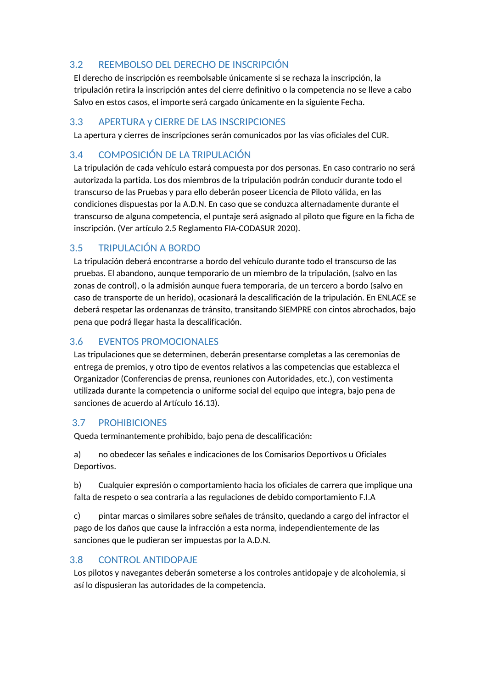## <span id="page-10-0"></span>3.2 REEMBOLSO DEL DERECHO DE INSCRIPCIÓN

El derecho de inscripción es reembolsable únicamente si se rechaza la inscripción, la tripulación retira la inscripción antes del cierre definitivo o la competencia no se lleve a cabo Salvo en estos casos, el importe será cargado únicamente en la siguiente Fecha.

#### <span id="page-10-1"></span>3.3 APERTURA y CIERRE DE LAS INSCRIPCIONES

La apertura y cierres de inscripciones serán comunicados por las vías oficiales del CUR.

## <span id="page-10-2"></span>3.4 COMPOSICIÓN DE LA TRIPULACIÓN

La tripulación de cada vehículo estará compuesta por dos personas. En caso contrario no será autorizada la partida. Los dos miembros de la tripulación podrán conducir durante todo el transcurso de las Pruebas y para ello deberán poseer Licencia de Piloto válida, en las condiciones dispuestas por la A.D.N. En caso que se conduzca alternadamente durante el transcurso de alguna competencia, el puntaje será asignado al piloto que figure en la ficha de inscripción. (Ver artículo 2.5 Reglamento FIA-CODASUR 2020).

### <span id="page-10-3"></span>3.5 TRIPULACIÓN A BORDO

La tripulación deberá encontrarse a bordo del vehículo durante todo el transcurso de las pruebas. El abandono, aunque temporario de un miembro de la tripulación, (salvo en las zonas de control), o la admisión aunque fuera temporaria, de un tercero a bordo (salvo en caso de transporte de un herido), ocasionará la descalificación de la tripulación. En ENLACE se deberá respetar las ordenanzas de tránsito, transitando SIEMPRE con cintos abrochados, bajo pena que podrá llegar hasta la descalificación.

## <span id="page-10-4"></span>3.6 EVENTOS PROMOCIONALES

Las tripulaciones que se determinen, deberán presentarse completas a las ceremonias de entrega de premios, y otro tipo de eventos relativos a las competencias que establezca el Organizador (Conferencias de prensa, reuniones con Autoridades, etc.), con vestimenta utilizada durante la competencia o uniforme social del equipo que integra, bajo pena de sanciones de acuerdo al Artículo 16.13).

#### <span id="page-10-5"></span>3.7 PROHIBICIONES

Queda terminantemente prohibido, bajo pena de descalificación:

a) no obedecer las señales e indicaciones de los Comisarios Deportivos u Oficiales Deportivos.

b) Cualquier expresión o comportamiento hacia los oficiales de carrera que implique una falta de respeto o sea contraria a las regulaciones de debido comportamiento F.I.A

c) pintar marcas o similares sobre señales de tránsito, quedando a cargo del infractor el pago de los daños que cause la infracción a esta norma, independientemente de las sanciones que le pudieran ser impuestas por la A.D.N.

### <span id="page-10-6"></span>3.8 CONTROL ANTIDOPAJE

Los pilotos y navegantes deberán someterse a los controles antidopaje y de alcoholemia, si así lo dispusieran las autoridades de la competencia.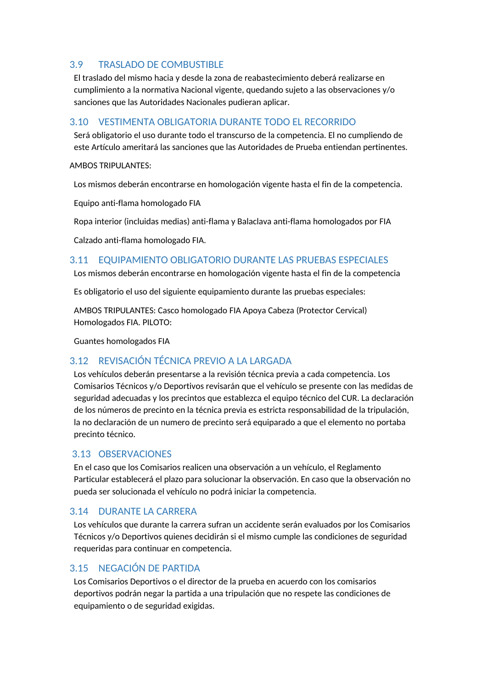## <span id="page-11-0"></span>3.9 TRASLADO DE COMBUSTIBLE

El traslado del mismo hacia y desde la zona de reabastecimiento deberá realizarse en cumplimiento a la normativa Nacional vigente, quedando sujeto a las observaciones y/o sanciones que las Autoridades Nacionales pudieran aplicar.

#### <span id="page-11-1"></span>3.10 VESTIMENTA OBLIGATORIA DURANTE TODO EL RECORRIDO

Será obligatorio el uso durante todo el transcurso de la competencia. El no cumpliendo de este Artículo ameritará las sanciones que las Autoridades de Prueba entiendan pertinentes.

#### **AMBOS TRIPULANTES:**

Los mismos deberán encontrarse en homologación vigente hasta el fin de la competencia.

Equipo anti-flama homologado FIA

Ropa interior (incluidas medias) anti-flama y Balaclava anti-flama homologados por FIA

Calzado anti-flama homologado FIA.

#### <span id="page-11-2"></span>3.11 EQUIPAMIENTO OBLIGATORIO DURANTE LAS PRUEBAS ESPECIALES

Los mismos deberán encontrarse en homologación vigente hasta el fin de la competencia

Es obligatorio el uso del siguiente equipamiento durante las pruebas especiales:

AMBOS TRIPULANTES: Casco homologado FIA Apoya Cabeza (Protector Cervical) Homologados FIA. PILOTO:

Guantes homologados FIA

### <span id="page-11-3"></span>3.12 REVISACIÓN TÉCNICA PREVIO A LA LARGADA

Los vehículos deberán presentarse a la revisión técnica previa a cada competencia. Los Comisarios Técnicos y/o Deportivos revisarán que el vehículo se presente con las medidas de seguridad adecuadas y los precintos que establezca el equipo técnico del CUR. La declaración de los números de precinto en la técnica previa es estricta responsabilidad de la tripulación, la no declaración de un numero de precinto será equiparado a que el elemento no portaba precinto técnico.

### <span id="page-11-4"></span>3.13 OBSERVACIONES

En el caso que los Comisarios realicen una observación a un vehículo, el Reglamento Particular establecerá el plazo para solucionar la observación. En caso que la observación no pueda ser solucionada el vehículo no podrá iniciar la competencia.

### <span id="page-11-5"></span>3.14 DURANTE LA CARRERA

Los vehículos que durante la carrera sufran un accidente serán evaluados por los Comisarios Técnicos y/o Deportivos quienes decidirán si el mismo cumple las condiciones de seguridad requeridas para continuar en competencia.

### <span id="page-11-6"></span>3.15 NEGACIÓN DE PARTIDA

Los Comisarios Deportivos o el director de la prueba en acuerdo con los comisarios deportivos podrán negar la partida a una tripulación que no respete las condiciones de equipamiento o de seguridad exigidas.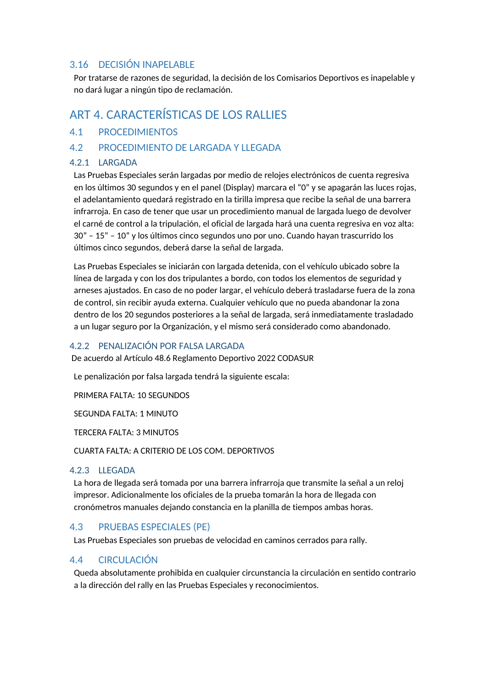#### <span id="page-12-0"></span>3.16 DECISIÓN INAPELABLE

Por tratarse de razones de seguridad, la decisión de los Comisarios Deportivos es inapelable y no dará lugar a ningún tipo de reclamación.

# <span id="page-12-1"></span>ART 4. CARACTERÍSTICAS DE LOS RALLIES

#### <span id="page-12-2"></span>4.1 PROCEDIMIENTOS

#### <span id="page-12-3"></span>4.2 PROCEDIMIENTO DE LARGADA Y LLEGADA

#### <span id="page-12-4"></span>4.2.1 LARGADA

Las Pruebas Especiales serán largadas por medio de relojes electrónicos de cuenta regresiva en los últimos 30 segundos y en el panel (Display) marcara el "0" y se apagarán las luces rojas, el adelantamiento quedará registrado en la tirilla impresa que recibe la señal de una barrera infrarroja. En caso de tener que usar un procedimiento manual de largada luego de devolver el carné de control a la tripulación, el oficial de largada hará una cuenta regresiva en voz alta: 30" – 15" – 10" y los últimos cinco segundos uno por uno. Cuando hayan trascurrido los últimos cinco segundos, deberá darse la señal de largada.

Las Pruebas Especiales se iniciarán con largada detenida, con el vehículo ubicado sobre la línea de largada y con los dos tripulantes a bordo, con todos los elementos de seguridad y arneses ajustados. En caso de no poder largar, el vehículo deberá trasladarse fuera de la zona de control, sin recibir ayuda externa. Cualquier vehículo que no pueda abandonar la zona dentro de los 20 segundos posteriores a la señal de largada, será inmediatamente trasladado a un lugar seguro por la Organización, y el mismo será considerado como abandonado.

#### <span id="page-12-5"></span>4.2.2 PENALIZACIÓN POR FALSA LARGADA

De acuerdo al Artículo 48.6 Reglamento Deportivo 2022 CODASUR

Le penalización por falsa largada tendrá la siguiente escala:

PRIMERA FALTA: 10 SEGUNDOS

SEGUNDA FALTA: 1 MINUTO

TERCERA FALTA: 3 MINUTOS

CUARTA FALTA: A CRITERIO DE LOS COM. DEPORTIVOS

#### <span id="page-12-6"></span>4.2.3 LLEGADA

La hora de llegada será tomada por una barrera infrarroja que transmite la señal a un reloj impresor. Adicionalmente los oficiales de la prueba tomarán la hora de llegada con cronómetros manuales dejando constancia en la planilla de tiempos ambas horas.

#### <span id="page-12-7"></span>4.3 PRUEBAS ESPECIALES (PE)

Las Pruebas Especiales son pruebas de velocidad en caminos cerrados para rally.

### <span id="page-12-8"></span>4.4 CIRCULACIÓN

Queda absolutamente prohibida en cualquier circunstancia la circulación en sentido contrario a la dirección del rally en las Pruebas Especiales y reconocimientos.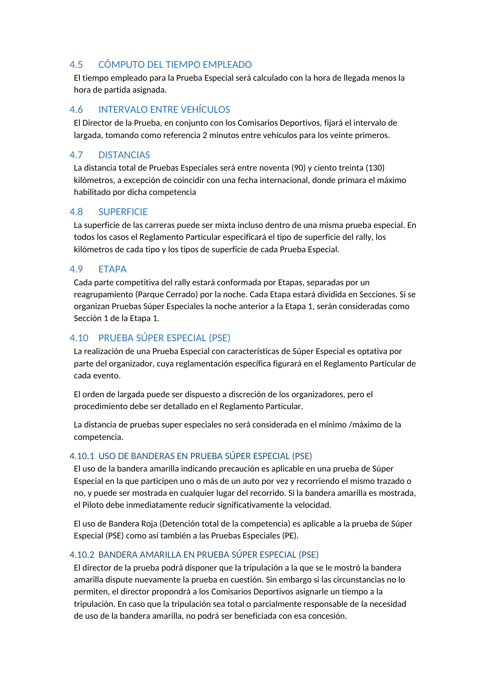## <span id="page-13-0"></span>4.5 CÓMPUTO DEL TIEMPO EMPLEADO

El tiempo empleado para la Prueba Especial será calculado con la hora de llegada menos la hora de partida asignada.

## <span id="page-13-1"></span>4.6 INTERVALO ENTRE VEHÍCULOS

El Director de la Prueba, en conjunto con los Comisarios Deportivos, fijará el intervalo de largada, tomando como referencia 2 minutos entre vehículos para los veinte primeros.

#### <span id="page-13-2"></span>4.7 DISTANCIAS

La distancia total de Pruebas Especiales será entre noventa (90) y ciento treinta (130) kilómetros, a excepción de coincidir con una fecha internacional, donde primara el máximo habilitado por dicha competencia

#### <span id="page-13-3"></span>4.8 SUPERFICIE

La superficie de las carreras puede ser mixta incluso dentro de una misma prueba especial. En todos los casos el Reglamento Particular especificará el tipo de superficie del rally, los kilómetros de cada tipo y los tipos de superficie de cada Prueba Especial.

#### <span id="page-13-4"></span>4.9 ETAPA

Cada parte competitiva del rally estará conformada por Etapas, separadas por un reagrupamiento (Parque Cerrado) por la noche. Cada Etapa estará dividida en Secciones. Si se organizan Pruebas Súper Especiales la noche anterior a la Etapa 1, serán consideradas como Sección 1 de la Etapa 1.

## <span id="page-13-5"></span>4.10 PRUEBA SÚPER ESPECIAL (PSE)

La realización de una Prueba Especial con características de Súper Especial es optativa por parte del organizador, cuya reglamentación específica figurará en el Reglamento Particular de cada evento.

El orden de largada puede ser dispuesto a discreción de los organizadores, pero el procedimiento debe ser detallado en el Reglamento Particular.

La distancia de pruebas super especiales no será considerada en el mínimo /máximo de la competencia.

#### <span id="page-13-6"></span>4.10.1 USO DE BANDERAS EN PRUEBA SÚPER ESPECIAL (PSE)

El uso de la bandera amarilla indicando precaución es aplicable en una prueba de Súper Especial en la que participen uno o más de un auto por vez y recorriendo el mismo trazado o no, y puede ser mostrada en cualquier lugar del recorrido. Si la bandera amarilla es mostrada, el Piloto debe inmediatamente reducir significativamente la velocidad.

El uso de Bandera Roja (Detención total de la competencia) es aplicable a la prueba de Súper Especial (PSE) como así también a las Pruebas Especiales (PE).

#### <span id="page-13-7"></span>4.10.2 BANDERA AMARILLA EN PRUEBA SÚPER ESPECIAL (PSE)

El director de la prueba podrá disponer que la tripulación a la que se le mostró la bandera amarilla dispute nuevamente la prueba en cuestión. Sin embargo si las circunstancias no lo permiten, el director propondrá a los Comisarios Deportivos asignarle un tiempo a la tripulación. En caso que la tripulación sea total o parcialmente responsable de la necesidad de uso de la bandera amarilla, no podrá ser beneficiada con esa concesión.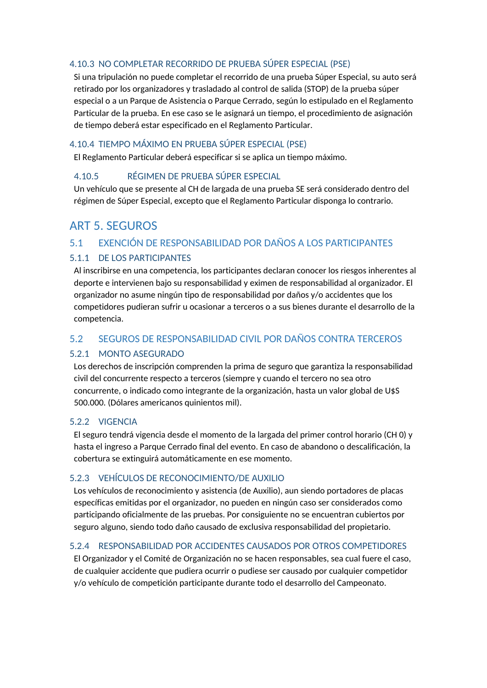#### <span id="page-14-0"></span>4.10.3 NO COMPLETAR RECORRIDO DE PRUEBA SÚPER ESPECIAL (PSE)

Si una tripulación no puede completar el recorrido de una prueba Súper Especial, su auto será retirado por los organizadores y trasladado al control de salida (STOP) de la prueba súper especial o a un Parque de Asistencia o Parque Cerrado, según lo estipulado en el Reglamento Particular de la prueba. En ese caso se le asignará un tiempo, el procedimiento de asignación de tiempo deberá estar especificado en el Reglamento Particular.

#### <span id="page-14-1"></span>4.10.4 TIEMPO MÁXIMO EN PRUEBA SÚPER ESPECIAL (PSE)

El Reglamento Particular deberá especificar si se aplica un tiempo máximo.

#### <span id="page-14-2"></span>4.10.5 RÉGIMEN DE PRUEBA SÚPER ESPECIAL

Un vehículo que se presente al CH de largada de una prueba SE será considerado dentro del régimen de Súper Especial, excepto que el Reglamento Particular disponga lo contrario.

# <span id="page-14-3"></span>ART 5. SEGUROS

#### <span id="page-14-4"></span>5.1 EXENCIÓN DE RESPONSABILIDAD POR DAÑOS A LOS PARTICIPANTES

#### <span id="page-14-5"></span>5.1.1 DE LOS PARTICIPANTES

Al inscribirse en una competencia, los participantes declaran conocer los riesgos inherentes al deporte e intervienen bajo su responsabilidad y eximen de responsabilidad al organizador. El organizador no asume ningún tipo de responsabilidad por daños y/o accidentes que los competidores pudieran sufrir u ocasionar a terceros o a sus bienes durante el desarrollo de la competencia.

#### <span id="page-14-6"></span>5.2 SEGUROS DE RESPONSABILIDAD CIVIL POR DAÑOS CONTRA TERCEROS

#### <span id="page-14-7"></span>5.2.1 MONTO ASEGURADO

Los derechos de inscripción comprenden la prima de seguro que garantiza la responsabilidad civil del concurrente respecto a terceros (siempre y cuando el tercero no sea otro concurrente, o indicado como integrante de la organización, hasta un valor global de U\$S 500.000. (Dólares americanos quinientos mil).

#### <span id="page-14-8"></span>5.2.2 VIGENCIA

El seguro tendrá vigencia desde el momento de la largada del primer control horario (CH 0) y hasta el ingreso a Parque Cerrado final del evento. En caso de abandono o descalificación, la cobertura se extinguirá automáticamente en ese momento.

#### <span id="page-14-9"></span>5.2.3 VEHÍCULOS DE RECONOCIMIENTO/DE AUXILIO

Los vehículos de reconocimiento y asistencia (de Auxilio), aun siendo portadores de placas específicas emitidas por el organizador, no pueden en ningún caso ser considerados como participando oficialmente de las pruebas. Por consiguiente no se encuentran cubiertos por seguro alguno, siendo todo daño causado de exclusiva responsabilidad del propietario.

#### <span id="page-14-10"></span>5.2.4 RESPONSABILIDAD POR ACCIDENTES CAUSADOS POR OTROS COMPETIDORES

El Organizador y el Comité de Organización no se hacen responsables, sea cual fuere el caso, de cualquier accidente que pudiera ocurrir o pudiese ser causado por cualquier competidor y/o vehículo de competición participante durante todo el desarrollo del Campeonato.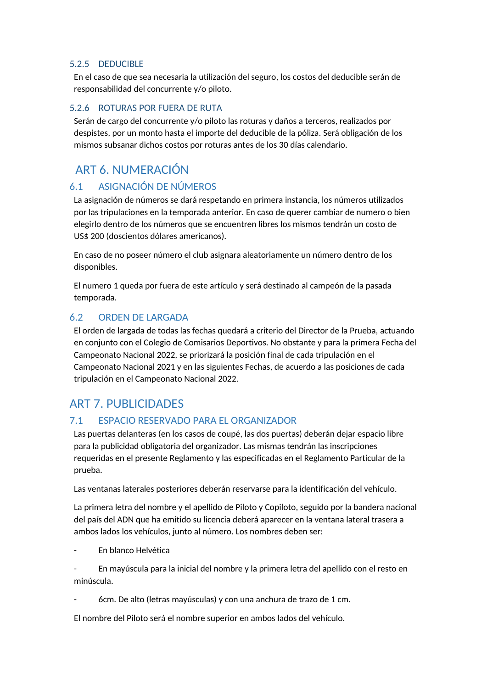#### <span id="page-15-0"></span>5.2.5 DEDUCIBLE

En el caso de que sea necesaria la utilización del seguro, los costos del deducible serán de responsabilidad del concurrente y/o piloto.

#### <span id="page-15-1"></span>5.2.6 ROTURAS POR FUERA DE RUTA

Serán de cargo del concurrente y/o piloto las roturas y daños a terceros, realizados por despistes, por un monto hasta el importe del deducible de la póliza. Será obligación de los mismos subsanar dichos costos por roturas antes de los 30 días calendario.

# <span id="page-15-2"></span>ART 6. NUMERACIÓN

### <span id="page-15-3"></span>6.1 ASIGNACIÓN DE NÚMEROS

La asignación de números se dará respetando en primera instancia, los números utilizados por las tripulaciones en la temporada anterior. En caso de querer cambiar de numero o bien elegirlo dentro de los números que se encuentren libres los mismos tendrán un costo de US\$ 200 (doscientos dólares americanos).

En caso de no poseer número el club asignara aleatoriamente un número dentro de los disponibles.

El numero 1 queda por fuera de este artículo y será destinado al campeón de la pasada temporada.

#### <span id="page-15-4"></span>6.2 ORDEN DE LARGADA

El orden de largada de todas las fechas quedará a criterio del Director de la Prueba, actuando en conjunto con el Colegio de Comisarios Deportivos. No obstante y para la primera Fecha del Campeonato Nacional 2022, se priorizará la posición final de cada tripulación en el Campeonato Nacional 2021 y en las siguientes Fechas, de acuerdo a las posiciones de cada tripulación en el Campeonato Nacional 2022.

## <span id="page-15-5"></span>ART 7. PUBLICIDADES

#### <span id="page-15-6"></span>7.1 ESPACIO RESERVADO PARA EL ORGANIZADOR

Las puertas delanteras (en los casos de coupé, las dos puertas) deberán dejar espacio libre para la publicidad obligatoria del organizador. Las mismas tendrán las inscripciones requeridas en el presente Reglamento y las especificadas en el Reglamento Particular de la prueba.

Las ventanas laterales posteriores deberán reservarse para la identificación del vehículo.

La primera letra del nombre y el apellido de Piloto y Copiloto, seguido por la bandera nacional del país del ADN que ha emitido su licencia deberá aparecer en la ventana lateral trasera a ambos lados los vehículos, junto al número. Los nombres deben ser:

- En blanco Helvética

- En mayúscula para la inicial del nombre y la primera letra del apellido con el resto en minúscula.

- 6cm. De alto (letras mayúsculas) y con una anchura de trazo de 1 cm.

El nombre del Piloto será el nombre superior en ambos lados del vehículo.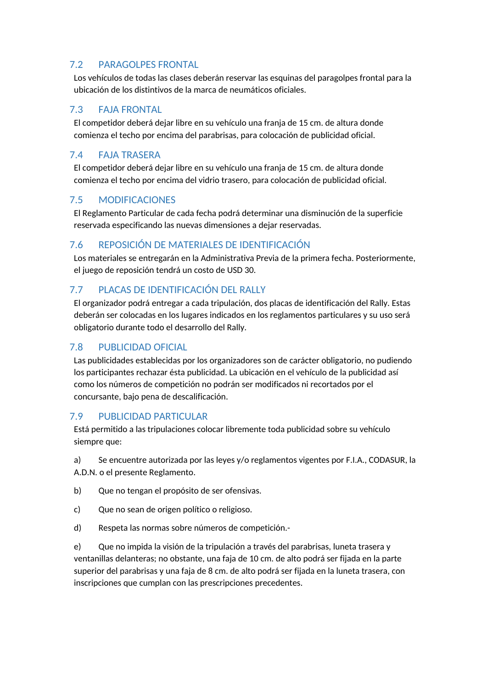## <span id="page-16-0"></span>7.2 PARAGOLPES FRONTAL

Los vehículos de todas las clases deberán reservar las esquinas del paragolpes frontal para la ubicación de los distintivos de la marca de neumáticos oficiales.

## <span id="page-16-1"></span>7.3 FAJA FRONTAL

El competidor deberá dejar libre en su vehículo una franja de 15 cm. de altura donde comienza el techo por encima del parabrisas, para colocación de publicidad oficial.

## <span id="page-16-2"></span>7.4 FAJA TRASERA

El competidor deberá dejar libre en su vehículo una franja de 15 cm. de altura donde comienza el techo por encima del vidrio trasero, para colocación de publicidad oficial.

## <span id="page-16-3"></span>7.5 MODIFICACIONES

El Reglamento Particular de cada fecha podrá determinar una disminución de la superficie reservada especificando las nuevas dimensiones a dejar reservadas.

## <span id="page-16-4"></span>7.6 REPOSICIÓN DE MATERIALES DE IDENTIFICACIÓN

Los materiales se entregarán en la Administrativa Previa de la primera fecha. Posteriormente, el juego de reposición tendrá un costo de USD 30.

## <span id="page-16-5"></span>7.7 PLACAS DE IDENTIFICACIÓN DEL RALLY

El organizador podrá entregar a cada tripulación, dos placas de identificación del Rally. Estas deberán ser colocadas en los lugares indicados en los reglamentos particulares y su uso será obligatorio durante todo el desarrollo del Rally.

### <span id="page-16-6"></span>7.8 PUBLICIDAD OFICIAL

Las publicidades establecidas por los organizadores son de carácter obligatorio, no pudiendo los participantes rechazar ésta publicidad. La ubicación en el vehículo de la publicidad así como los números de competición no podrán ser modificados ni recortados por el concursante, bajo pena de descalificación.

### <span id="page-16-7"></span>7.9 PUBLICIDAD PARTICULAR

Está permitido a las tripulaciones colocar libremente toda publicidad sobre su vehículo siempre que:

a) Se encuentre autorizada por las leyes y/o reglamentos vigentes por F.I.A., CODASUR, la A.D.N. o el presente Reglamento.

- b) Que no tengan el propósito de ser ofensivas.
- c) Que no sean de origen político o religioso.
- d) Respeta las normas sobre números de competición.-

e) Que no impida la visión de la tripulación a través del parabrisas, luneta trasera y ventanillas delanteras; no obstante, una faja de 10 cm. de alto podrá ser fijada en la parte superior del parabrisas y una faja de 8 cm. de alto podrá ser fijada en la luneta trasera, con inscripciones que cumplan con las prescripciones precedentes.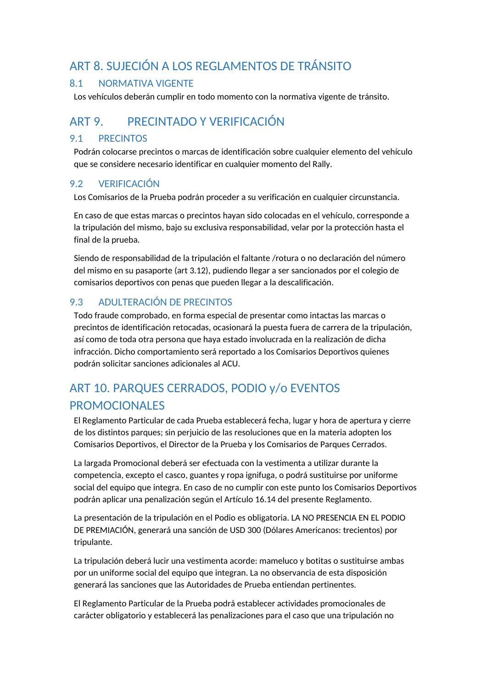# <span id="page-17-0"></span>ART 8. SUJECIÓN A LOS REGLAMENTOS DE TRÁNSITO

## <span id="page-17-1"></span>8.1 NORMATIVA VIGENTE

Los vehículos deberán cumplir en todo momento con la normativa vigente de tránsito.

# <span id="page-17-2"></span>ART 9. PRECINTADO Y VERIFICACIÓN

## <span id="page-17-3"></span>9.1 PRECINTOS

Podrán colocarse precintos o marcas de identificación sobre cualquier elemento del vehículo que se considere necesario identificar en cualquier momento del Rally.

## <span id="page-17-4"></span>9.2 VERIFICACIÓN

Los Comisarios de la Prueba podrán proceder a su verificación en cualquier circunstancia.

En caso de que estas marcas o precintos hayan sido colocadas en el vehículo, corresponde a la tripulación del mismo, bajo su exclusiva responsabilidad, velar por la protección hasta el final de la prueba.

Siendo de responsabilidad de la tripulación el faltante /rotura o no declaración del número del mismo en su pasaporte (art 3.12), pudiendo llegar a ser sancionados por el colegio de comisarios deportivos con penas que pueden llegar a la descalificación.

## <span id="page-17-5"></span>9.3 ADULTERACIÓN DE PRECINTOS

Todo fraude comprobado, en forma especial de presentar como intactas las marcas o precintos de identificación retocadas, ocasionará la puesta fuera de carrera de la tripulación, así como de toda otra persona que haya estado involucrada en la realización de dicha infracción. Dicho comportamiento será reportado a los Comisarios Deportivos quienes podrán solicitar sanciones adicionales al ACU.

# <span id="page-17-6"></span>ART 10. PARQUES CERRADOS, PODIO y/o EVENTOS PROMOCIONALES

El Reglamento Particular de cada Prueba establecerá fecha, lugar y hora de apertura y cierre de los distintos parques; sin perjuicio de las resoluciones que en la materia adopten los Comisarios Deportivos, el Director de la Prueba y los Comisarios de Parques Cerrados.

La largada Promocional deberá ser efectuada con la vestimenta a utilizar durante la competencia, excepto el casco, guantes y ropa ignifuga, o podrá sustituirse por uniforme social del equipo que integra. En caso de no cumplir con este punto los Comisarios Deportivos podrán aplicar una penalización según el Artículo 16.14 del presente Reglamento.

La presentación de la tripulación en el Podio es obligatoria. LA NO PRESENCIA EN EL PODIO DE PREMIACIÓN, generará una sanción de USD 300 (Dólares Americanos: trecientos) por tripulante.

La tripulación deberá lucir una vestimenta acorde: mameluco y botitas o sustituirse ambas por un uniforme social del equipo que integran. La no observancia de esta disposición generará las sanciones que las Autoridades de Prueba entiendan pertinentes.

El Reglamento Particular de la Prueba podrá establecer actividades promocionales de carácter obligatorio y establecerá las penalizaciones para el caso que una tripulación no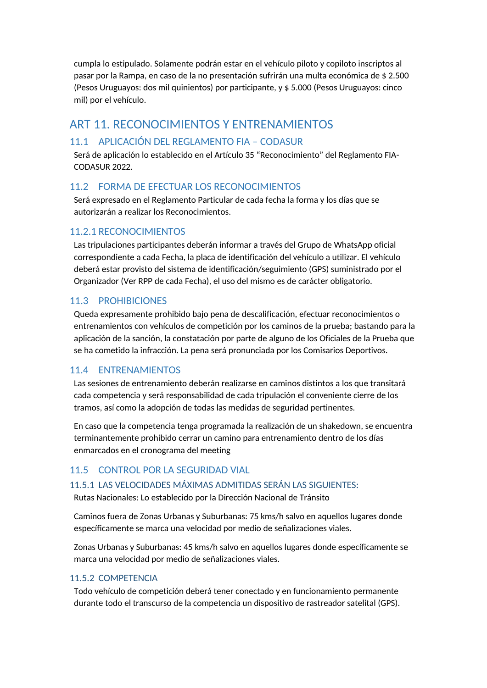cumpla lo estipulado. Solamente podrán estar en el vehículo piloto y copiloto inscriptos al pasar por la Rampa, en caso de la no presentación sufrirán una multa económica de \$ 2.500 (Pesos Uruguayos: dos mil quinientos) por participante, y \$ 5.000 (Pesos Uruguayos: cinco mil) por el vehículo.

# <span id="page-18-0"></span>ART 11. RECONOCIMIENTOS Y ENTRENAMIENTOS

## <span id="page-18-1"></span>11.1 APLICACIÓN DEL REGLAMENTO FIA – CODASUR

Será de aplicación lo establecido en el Artículo 35 "Reconocimiento" del Reglamento FIA-CODASUR 2022.

### <span id="page-18-2"></span>11.2 FORMA DE EFECTUAR LOS RECONOCIMIENTOS

Será expresado en el Reglamento Particular de cada fecha la forma y los días que se autorizarán a realizar los Reconocimientos.

### <span id="page-18-3"></span>11.2.1 RECONOCIMIENTOS

Las tripulaciones participantes deberán informar a través del Grupo de WhatsApp oficial correspondiente a cada Fecha, la placa de identificación del vehículo a utilizar. El vehículo deberá estar provisto del sistema de identificación/seguimiento (GPS) suministrado por el Organizador (Ver RPP de cada Fecha), el uso del mismo es de carácter obligatorio.

#### <span id="page-18-4"></span>11.3 PROHIBICIONES

Queda expresamente prohibido bajo pena de descalificación, efectuar reconocimientos o entrenamientos con vehículos de competición por los caminos de la prueba; bastando para la aplicación de la sanción, la constatación por parte de alguno de los Oficiales de la Prueba que se ha cometido la infracción. La pena será pronunciada por los Comisarios Deportivos.

#### <span id="page-18-5"></span>11.4 ENTRENAMIENTOS

Las sesiones de entrenamiento deberán realizarse en caminos distintos a los que transitará cada competencia y será responsabilidad de cada tripulación el conveniente cierre de los tramos, así como la adopción de todas las medidas de seguridad pertinentes.

En caso que la competencia tenga programada la realización de un shakedown, se encuentra terminantemente prohibido cerrar un camino para entrenamiento dentro de los días enmarcados en el cronograma del meeting

### <span id="page-18-6"></span>11.5 CONTROL POR LA SEGURIDAD VIAL

#### <span id="page-18-7"></span>11.5.1 LAS VELOCIDADES MÁXIMAS ADMITIDAS SERÁN LAS SIGUIENTES:

Rutas Nacionales: Lo establecido por la Dirección Nacional de Tránsito

Caminos fuera de Zonas Urbanas y Suburbanas: 75 kms/h salvo en aquellos lugares donde específicamente se marca una velocidad por medio de señalizaciones viales.

Zonas Urbanas y Suburbanas: 45 kms/h salvo en aquellos lugares donde específicamente se marca una velocidad por medio de señalizaciones viales.

#### <span id="page-18-8"></span>11.5.2 COMPETENCIA

Todo vehículo de competición deberá tener conectado y en funcionamiento permanente durante todo el transcurso de la competencia un dispositivo de rastreador satelital (GPS).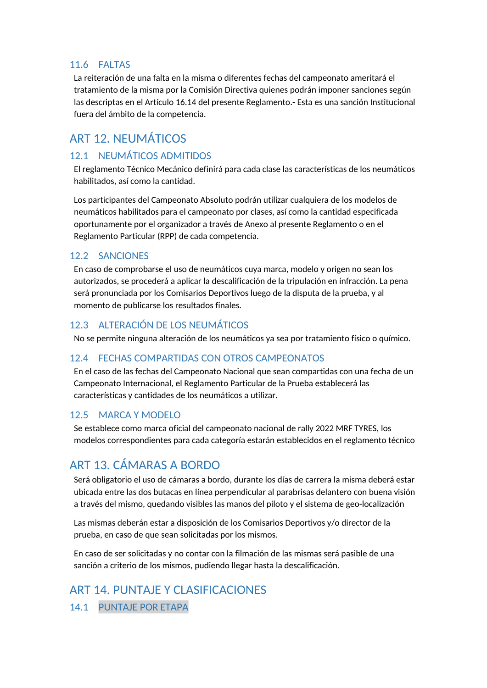## <span id="page-19-0"></span>11.6 FALTAS

La reiteración de una falta en la misma o diferentes fechas del campeonato ameritará el tratamiento de la misma por la Comisión Directiva quienes podrán imponer sanciones según las descriptas en el Artículo 16.14 del presente Reglamento.- Esta es una sanción Institucional fuera del ámbito de la competencia.

# <span id="page-19-1"></span>ART 12. NEUMÁTICOS

## <span id="page-19-2"></span>12.1 NEUMÁTICOS ADMITIDOS

El reglamento Técnico Mecánico definirá para cada clase las características de los neumáticos habilitados, así como la cantidad.

Los participantes del Campeonato Absoluto podrán utilizar cualquiera de los modelos de neumáticos habilitados para el campeonato por clases, así como la cantidad especificada oportunamente por el organizador a través de Anexo al presente Reglamento o en el Reglamento Particular (RPP) de cada competencia.

### <span id="page-19-3"></span>12.2 SANCIONES

En caso de comprobarse el uso de neumáticos cuya marca, modelo y origen no sean los autorizados, se procederá a aplicar la descalificación de la tripulación en infracción. La pena será pronunciada por los Comisarios Deportivos luego de la disputa de la prueba, y al momento de publicarse los resultados finales.

## <span id="page-19-4"></span>12.3 ALTERACIÓN DE LOS NEUMÁTICOS

No se permite ninguna alteración de los neumáticos ya sea por tratamiento físico o químico.

#### <span id="page-19-5"></span>12.4 FECHAS COMPARTIDAS CON OTROS CAMPEONATOS

En el caso de las fechas del Campeonato Nacional que sean compartidas con una fecha de un Campeonato Internacional, el Reglamento Particular de la Prueba establecerá las características y cantidades de los neumáticos a utilizar.

### <span id="page-19-6"></span>12.5 MARCA Y MODELO

Se establece como marca oficial del campeonato nacional de rally 2022 MRF TYRES, los modelos correspondientes para cada categoría estarán establecidos en el reglamento técnico

# <span id="page-19-7"></span>ART 13. CÁMARAS A BORDO

Será obligatorio el uso de cámaras a bordo, durante los días de carrera la misma deberá estar ubicada entre las dos butacas en línea perpendicular al parabrisas delantero con buena visión a través del mismo, quedando visibles las manos del piloto y el sistema de geo-localización

Las mismas deberán estar a disposición de los Comisarios Deportivos y/o director de la prueba, en caso de que sean solicitadas por los mismos.

En caso de ser solicitadas y no contar con la filmación de las mismas será pasible de una sanción a criterio de los mismos, pudiendo llegar hasta la descalificación.

<span id="page-19-9"></span><span id="page-19-8"></span>ART 14. PUNTAJE Y CLASIFICACIONES 14.1 PUNTAJE POR ETAPA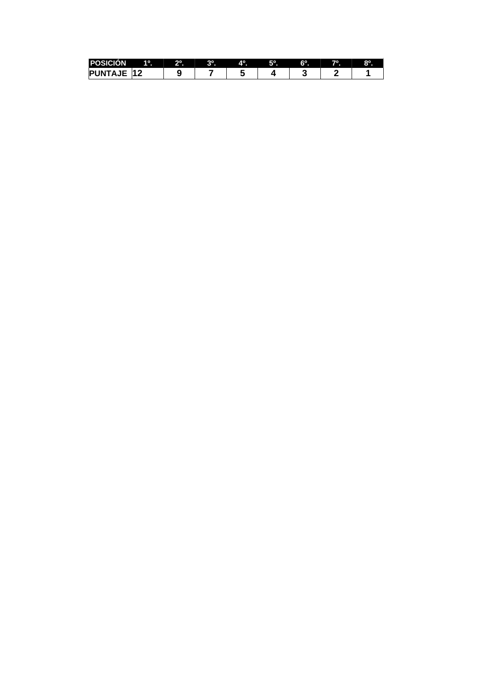| <b>P</b>                                | 10          | 2° | ാറ<br>п | лσ | EО | $6^{\circ}$ | 70 | $8^\circ$ |
|-----------------------------------------|-------------|----|---------|----|----|-------------|----|-----------|
| - 1 T<br>INI<br>−<br>$\boldsymbol{\mu}$ | <u>ія Л</u> |    |         |    |    |             |    |           |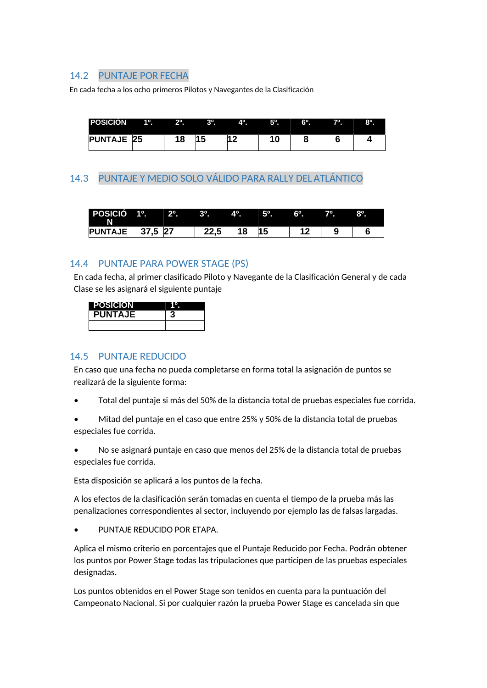### <span id="page-21-0"></span>14.2 PUNTAJE POR FECHA

En cada fecha a los ocho primeros Pilotos y Navegantes de la Clasificación

| <b>POSICIÓN</b>   | $1^\circ$ . | $2^{\circ}$ . | $\blacksquare$ | $\mathbf{A}^{\mathbf{o}}$ | $5^\circ$ . | $6^{\circ}$ . | $7^\circ$ . | $8^\circ$ |
|-------------------|-------------|---------------|----------------|---------------------------|-------------|---------------|-------------|-----------|
| <b>PUNTAJE 25</b> |             | 18            |                | G                         |             |               |             |           |

## <span id="page-21-1"></span>14.3 PUNTAJE Y MEDIO SOLO VÁLIDO PARA RALLY DEL ATLÁNTICO

| POSICIÓ 1º.<br>N |         | $2^{\circ}$ . $3^{\circ}$ . |      | $\overline{A^0}$ | $5^\circ$ . | $6^\circ$ . | $7^\circ$ . | $8^{\circ}$ . |
|------------------|---------|-----------------------------|------|------------------|-------------|-------------|-------------|---------------|
| <b>PUNTAJE</b>   | 37,5 27 |                             | 22,5 | 18               |             | 19          |             |               |

### <span id="page-21-2"></span>14.4 PUNTAJE PARA POWER STAGE (PS)

En cada fecha, al primer clasificado Piloto y Navegante de la Clasificación General y de cada Clase se les asignará el siguiente puntaje

| <b>POSICIÓN</b> |  |
|-----------------|--|
| <b>PUNTAJE</b>  |  |
|                 |  |

#### <span id="page-21-3"></span>14.5 PUNTAJE REDUCIDO

En caso que una fecha no pueda completarse en forma total la asignación de puntos se realizará de la siguiente forma:

- Total del puntaje si más del 50% de la distancia total de pruebas especiales fue corrida.
- Mitad del puntaje en el caso que entre 25% y 50% de la distancia total de pruebas especiales fue corrida.

• No se asignará puntaje en caso que menos del 25% de la distancia total de pruebas especiales fue corrida.

Esta disposición se aplicará a los puntos de la fecha.

A los efectos de la clasificación serán tomadas en cuenta el tiempo de la prueba más las penalizaciones correspondientes al sector, incluyendo por ejemplo las de falsas largadas.

• PUNTAJE REDUCIDO POR ETAPA.

Aplica el mismo criterio en porcentajes que el Puntaje Reducido por Fecha. Podrán obtener los puntos por Power Stage todas las tripulaciones que participen de las pruebas especiales designadas.

Los puntos obtenidos en el Power Stage son tenidos en cuenta para la puntuación del Campeonato Nacional. Si por cualquier razón la prueba Power Stage es cancelada sin que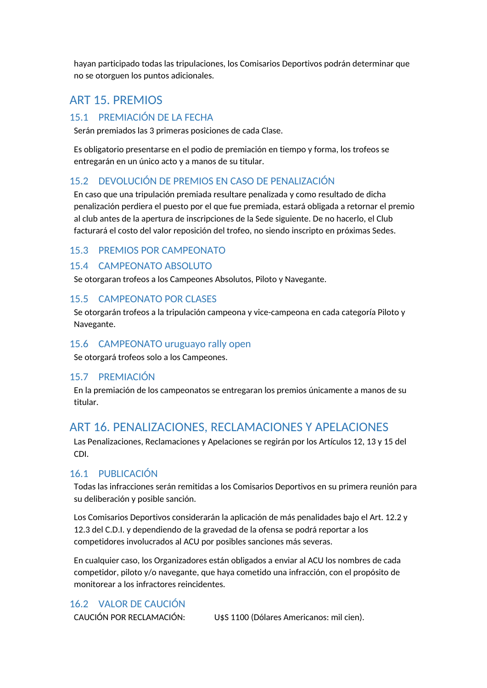hayan participado todas las tripulaciones, los Comisarios Deportivos podrán determinar que no se otorguen los puntos adicionales.

# <span id="page-22-0"></span>ART 15. PREMIOS

## <span id="page-22-1"></span>15.1 PREMIACIÓN DE LA FECHA

Serán premiados las 3 primeras posiciones de cada Clase.

Es obligatorio presentarse en el podio de premiación en tiempo y forma, los trofeos se entregarán en un único acto y a manos de su titular.

### <span id="page-22-2"></span>15.2 DEVOLUCIÓN DE PREMIOS EN CASO DE PENALIZACIÓN

En caso que una tripulación premiada resultare penalizada y como resultado de dicha penalización perdiera el puesto por el que fue premiada, estará obligada a retornar el premio al club antes de la apertura de inscripciones de la Sede siguiente. De no hacerlo, el Club facturará el costo del valor reposición del trofeo, no siendo inscripto en próximas Sedes.

#### <span id="page-22-3"></span>15.3 PREMIOS POR CAMPEONATO

#### <span id="page-22-4"></span>15.4 CAMPEONATO ABSOLUTO

Se otorgaran trofeos a los Campeones Absolutos, Piloto y Navegante.

#### <span id="page-22-5"></span>15.5 CAMPEONATO POR CLASES

Se otorgarán trofeos a la tripulación campeona y vice-campeona en cada categoría Piloto y Navegante.

#### <span id="page-22-6"></span>15.6 CAMPEONATO uruguayo rally open

Se otorgará trofeos solo a los Campeones.

#### <span id="page-22-7"></span>15.7 PREMIACIÓN

En la premiación de los campeonatos se entregaran los premios únicamente a manos de su titular.

## <span id="page-22-8"></span>ART 16. PENALIZACIONES, RECLAMACIONES Y APELACIONES

Las Penalizaciones, Reclamaciones y Apelaciones se regirán por los Artículos 12, 13 y 15 del CDI.

### <span id="page-22-9"></span>16.1 PUBLICACIÓN

Todas las infracciones serán remitidas a los Comisarios Deportivos en su primera reunión para su deliberación y posible sanción.

Los Comisarios Deportivos considerarán la aplicación de más penalidades bajo el Art. 12.2 y 12.3 del C.D.I. y dependiendo de la gravedad de la ofensa se podrá reportar a los competidores involucrados al ACU por posibles sanciones más severas.

En cualquier caso, los Organizadores están obligados a enviar al ACU los nombres de cada competidor, piloto y/o navegante, que haya cometido una infracción, con el propósito de monitorear a los infractores reincidentes.

## <span id="page-22-10"></span>16.2 VALOR DE CAUCIÓN

CAUCIÓN POR RECLAMACIÓN: U\$S 1100 (Dólares Americanos: mil cien).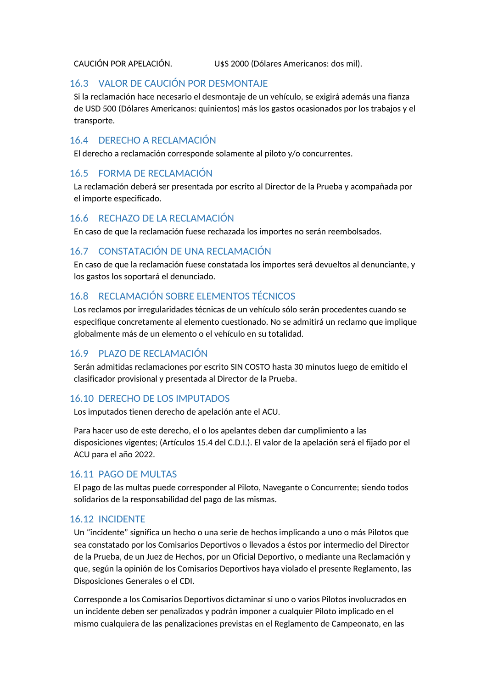CAUCIÓN POR APELACIÓN. U\$S 2000 (Dólares Americanos: dos mil).

### <span id="page-23-0"></span>16.3 VALOR DE CAUCIÓN POR DESMONTAJE

Si la reclamación hace necesario el desmontaje de un vehículo, se exigirá además una fianza de USD 500 (Dólares Americanos: quinientos) más los gastos ocasionados por los trabajos y el transporte.

### <span id="page-23-1"></span>16.4 DERECHO A RECLAMACIÓN

El derecho a reclamación corresponde solamente al piloto y/o concurrentes.

## <span id="page-23-2"></span>16.5 FORMA DE RECLAMACIÓN

La reclamación deberá ser presentada por escrito al Director de la Prueba y acompañada por el importe especificado.

#### <span id="page-23-3"></span>16.6 RECHAZO DE LA RECLAMACIÓN

En caso de que la reclamación fuese rechazada los importes no serán reembolsados.

## <span id="page-23-4"></span>16.7 CONSTATACIÓN DE UNA RECLAMACIÓN

En caso de que la reclamación fuese constatada los importes será devueltos al denunciante, y los gastos los soportará el denunciado.

## <span id="page-23-5"></span>16.8 RECLAMACIÓN SOBRE ELEMENTOS TÉCNICOS

Los reclamos por irregularidades técnicas de un vehículo sólo serán procedentes cuando se especifique concretamente al elemento cuestionado. No se admitirá un reclamo que implique globalmente más de un elemento o el vehículo en su totalidad.

### <span id="page-23-6"></span>16.9 PLAZO DE RECLAMACIÓN

Serán admitidas reclamaciones por escrito SIN COSTO hasta 30 minutos luego de emitido el clasificador provisional y presentada al Director de la Prueba.

### <span id="page-23-7"></span>16.10 DERECHO DE LOS IMPUTADOS

Los imputados tienen derecho de apelación ante el ACU.

Para hacer uso de este derecho, el o los apelantes deben dar cumplimiento a las disposiciones vigentes; (Artículos 15.4 del C.D.I.). El valor de la apelación será el fijado por el ACU para el año 2022.

### <span id="page-23-8"></span>16.11 PAGO DE MULTAS

El pago de las multas puede corresponder al Piloto, Navegante o Concurrente; siendo todos solidarios de la responsabilidad del pago de las mismas.

### <span id="page-23-9"></span>16.12 INCIDENTE

Un "incidente" significa un hecho o una serie de hechos implicando a uno o más Pilotos que sea constatado por los Comisarios Deportivos o llevados a éstos por intermedio del Director de la Prueba, de un Juez de Hechos, por un Oficial Deportivo, o mediante una Reclamación y que, según la opinión de los Comisarios Deportivos haya violado el presente Reglamento, las Disposiciones Generales o el CDI.

Corresponde a los Comisarios Deportivos dictaminar si uno o varios Pilotos involucrados en un incidente deben ser penalizados y podrán imponer a cualquier Piloto implicado en el mismo cualquiera de las penalizaciones previstas en el Reglamento de Campeonato, en las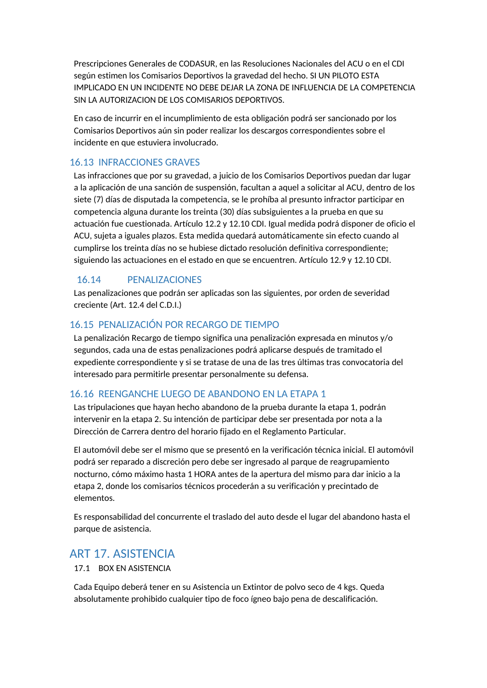Prescripciones Generales de CODASUR, en las Resoluciones Nacionales del ACU o en el CDI según estimen los Comisarios Deportivos la gravedad del hecho. SI UN PILOTO ESTA IMPLICADO EN UN INCIDENTE NO DEBE DEJAR LA ZONA DE INFLUENCIA DE LA COMPETENCIA SIN LA AUTORIZACION DE LOS COMISARIOS DEPORTIVOS.

En caso de incurrir en el incumplimiento de esta obligación podrá ser sancionado por los Comisarios Deportivos aún sin poder realizar los descargos correspondientes sobre el incidente en que estuviera involucrado.

#### <span id="page-24-0"></span>16.13 INFRACCIONES GRAVES

Las infracciones que por su gravedad, a juicio de los Comisarios Deportivos puedan dar lugar a la aplicación de una sanción de suspensión, facultan a aquel a solicitar al ACU, dentro de los siete (7) días de disputada la competencia, se le prohíba al presunto infractor participar en competencia alguna durante los treinta (30) días subsiguientes a la prueba en que su actuación fue cuestionada. Artículo 12.2 y 12.10 CDI. Igual medida podrá disponer de oficio el ACU, sujeta a iguales plazos. Esta medida quedará automáticamente sin efecto cuando al cumplirse los treinta días no se hubiese dictado resolución definitiva correspondiente; siguiendo las actuaciones en el estado en que se encuentren. Artículo 12.9 y 12.10 CDI.

### <span id="page-24-1"></span>16.14 PENALIZACIONES

Las penalizaciones que podrán ser aplicadas son las siguientes, por orden de severidad creciente (Art. 12.4 del C.D.I.)

### <span id="page-24-2"></span>16.15 PENALIZACIÓN POR RECARGO DE TIEMPO

La penalización Recargo de tiempo significa una penalización expresada en minutos y/o segundos, cada una de estas penalizaciones podrá aplicarse después de tramitado el expediente correspondiente y si se tratase de una de las tres últimas tras convocatoria del interesado para permitirle presentar personalmente su defensa.

### <span id="page-24-3"></span>16.16 REENGANCHE LUEGO DE ABANDONO EN LA ETAPA 1

Las tripulaciones que hayan hecho abandono de la prueba durante la etapa 1, podrán intervenir en la etapa 2. Su intención de participar debe ser presentada por nota a la Dirección de Carrera dentro del horario fijado en el Reglamento Particular.

El automóvil debe ser el mismo que se presentó en la verificación técnica inicial. El automóvil podrá ser reparado a discreción pero debe ser ingresado al parque de reagrupamiento nocturno, cómo máximo hasta 1 HORA antes de la apertura del mismo para dar inicio a la etapa 2, donde los comisarios técnicos procederán a su verificación y precintado de elementos.

Es responsabilidad del concurrente el traslado del auto desde el lugar del abandono hasta el parque de asistencia.

## <span id="page-24-4"></span>ART 17. ASISTENCIA

#### 17.1 BOX EN ASISTENCIA

Cada Equipo deberá tener en su Asistencia un Extintor de polvo seco de 4 kgs. Queda absolutamente prohibido cualquier tipo de foco ígneo bajo pena de descalificación.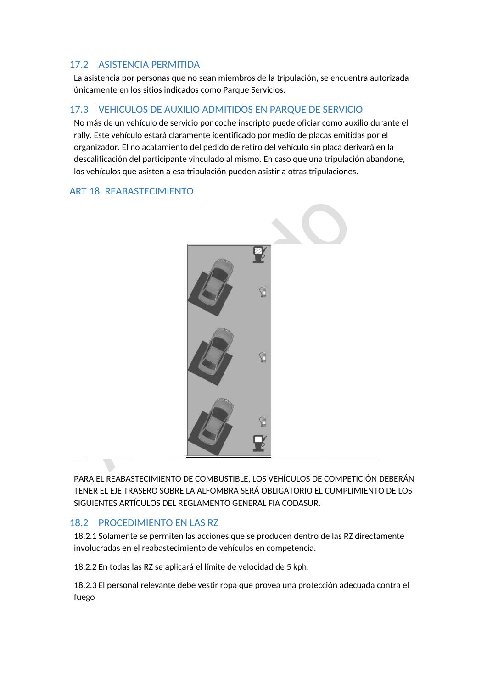## <span id="page-25-0"></span>17.2 ASISTENCIA PERMITIDA

La asistencia por personas que no sean miembros de la tripulación, se encuentra autorizada únicamente en los sitios indicados como Parque Servicios.

## <span id="page-25-1"></span>17.3 VEHICULOS DE AUXILIO ADMITIDOS EN PARQUE DE SERVICIO

No más de un vehículo de servicio por coche inscripto puede oficiar como auxilio durante el rally. Este vehículo estará claramente identificado por medio de placas emitidas por el organizador. El no acatamiento del pedido de retiro del vehículo sin placa derivará en la descalificación del participante vinculado al mismo. En caso que una tripulación abandone, los vehículos que asisten a esa tripulación pueden asistir a otras tripulaciones.

## <span id="page-25-2"></span>ART 18. REABASTECIMIENTO



PARA EL REABASTECIMIENTO DE COMBUSTIBLE, LOS VEHÍCULOS DE COMPETICIÓN DEBERÁN TENER EL EJE TRASERO SOBRE LA ALFOMBRA SERÁ OBLIGATORIO EL CUMPLIMIENTO DE LOS SIGUIENTES ARTÍCULOS DEL REGLAMENTO GENERAL FIA CODASUR.

### <span id="page-25-3"></span>18.2 PROCEDIMIENTO EN LAS RZ

18.2.1 Solamente se permiten las acciones que se producen dentro de las RZ directamente involucradas en el reabastecimiento de vehículos en competencia.

18.2.2 En todas las RZ se aplicará el límite de velocidad de 5 kph.

18.2.3 El personal relevante debe vestir ropa que provea una protección adecuada contra el fuego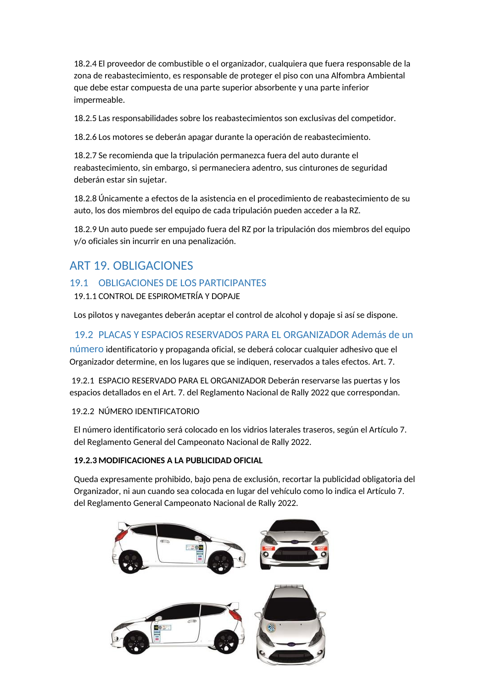18.2.4 El proveedor de combustible o el organizador, cualquiera que fuera responsable de la zona de reabastecimiento, es responsable de proteger el piso con una Alfombra Ambiental que debe estar compuesta de una parte superior absorbente y una parte inferior impermeable.

18.2.5 Las responsabilidades sobre los reabastecimientos son exclusivas del competidor.

18.2.6 Los motores se deberán apagar durante la operación de reabastecimiento.

18.2.7 Se recomienda que la tripulación permanezca fuera del auto durante el reabastecimiento, sin embargo, si permaneciera adentro, sus cinturones de seguridad deberán estar sin sujetar.

18.2.8 Únicamente a efectos de la asistencia en el procedimiento de reabastecimiento de su auto, los dos miembros del equipo de cada tripulación pueden acceder a la RZ.

18.2.9 Un auto puede ser empujado fuera del RZ por la tripulación dos miembros del equipo y/o oficiales sin incurrir en una penalización.

# <span id="page-26-0"></span>ART 19. OBLIGACIONES

## <span id="page-26-1"></span>19.1 OBLIGACIONES DE LOS PARTICIPANTES

19.1.1 CONTROL DE ESPIROMETRÍA Y DOPAJE

Los pilotos y navegantes deberán aceptar el control de alcohol y dopaje si así se dispone.

<span id="page-26-2"></span>19.2 PLACAS Y ESPACIOS RESERVADOS PARA EL ORGANIZADOR Además de un

número identificatorio y propaganda oficial, se deberá colocar cualquier adhesivo que el Organizador determine, en los lugares que se indiquen, reservados a tales efectos. Art. 7.

19.2.1 ESPACIO RESERVADO PARA EL ORGANIZADOR Deberán reservarse las puertas y los espacios detallados en el Art. 7. del Reglamento Nacional de Rally 2022 que correspondan.

19.2.2 NÚMERO IDENTIFICATORIO

El número identificatorio será colocado en los vidrios laterales traseros, según el Artículo 7. del Reglamento General del Campeonato Nacional de Rally 2022.

#### **19.2.3 MODIFICACIONES A LA PUBLICIDAD OFICIAL**

Queda expresamente prohibido, bajo pena de exclusión, recortar la publicidad obligatoria del Organizador, ni aun cuando sea colocada en lugar del vehículo como lo indica el Artículo 7. del Reglamento General Campeonato Nacional de Rally 2022.

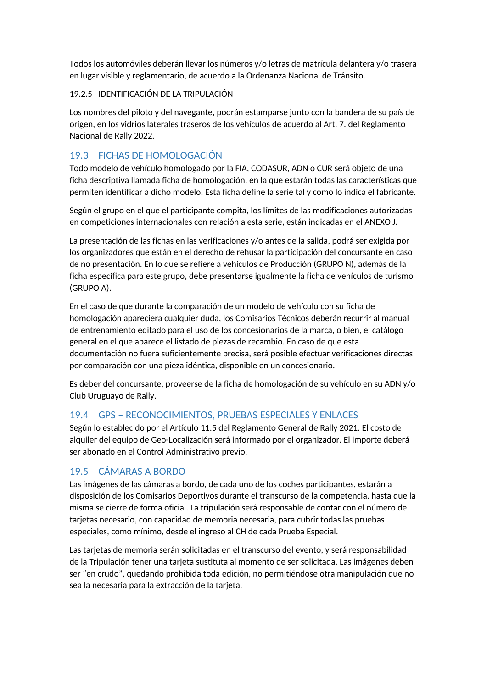Todos los automóviles deberán llevar los números y/o letras de matrícula delantera y/o trasera en lugar visible y reglamentario, de acuerdo a la Ordenanza Nacional de Tránsito.

#### 19.2.5 IDENTIFICACIÓN DE LA TRIPULACIÓN

Los nombres del piloto y del navegante, podrán estamparse junto con la bandera de su país de origen, en los vidrios laterales traseros de los vehículos de acuerdo al Art. 7. del Reglamento Nacional de Rally 2022.

## <span id="page-27-0"></span>19.3 FICHAS DE HOMOLOGACIÓN

Todo modelo de vehículo homologado por la FIA, CODASUR, ADN o CUR será objeto de una ficha descriptiva llamada ficha de homologación, en la que estarán todas las características que permiten identificar a dicho modelo. Esta ficha define la serie tal y como lo indica el fabricante.

Según el grupo en el que el participante compita, los límites de las modificaciones autorizadas en competiciones internacionales con relación a esta serie, están indicadas en el ANEXO J.

La presentación de las fichas en las verificaciones y/o antes de la salida, podrá ser exigida por los organizadores que están en el derecho de rehusar la participación del concursante en caso de no presentación. En lo que se refiere a vehículos de Producción (GRUPO N), además de la ficha específica para este grupo, debe presentarse igualmente la ficha de vehículos de turismo (GRUPO A).

En el caso de que durante la comparación de un modelo de vehículo con su ficha de homologación apareciera cualquier duda, los Comisarios Técnicos deberán recurrir al manual de entrenamiento editado para el uso de los concesionarios de la marca, o bien, el catálogo general en el que aparece el listado de piezas de recambio. En caso de que esta documentación no fuera suficientemente precisa, será posible efectuar verificaciones directas por comparación con una pieza idéntica, disponible en un concesionario.

Es deber del concursante, proveerse de la ficha de homologación de su vehículo en su ADN y/o Club Uruguayo de Rally.

## <span id="page-27-1"></span>19.4 GPS – RECONOCIMIENTOS, PRUEBAS ESPECIALES Y ENLACES

Según lo establecido por el Artículo 11.5 del Reglamento General de Rally 2021. El costo de alquiler del equipo de Geo-Localización será informado por el organizador. El importe deberá ser abonado en el Control Administrativo previo.

## <span id="page-27-2"></span>19.5 CÁMARAS A BORDO

Las imágenes de las cámaras a bordo, de cada uno de los coches participantes, estarán a disposición de los Comisarios Deportivos durante el transcurso de la competencia, hasta que la misma se cierre de forma oficial. La tripulación será responsable de contar con el número de tarjetas necesario, con capacidad de memoria necesaria, para cubrir todas las pruebas especiales, como mínimo, desde el ingreso al CH de cada Prueba Especial.

Las tarjetas de memoria serán solicitadas en el transcurso del evento, y será responsabilidad de la Tripulación tener una tarjeta sustituta al momento de ser solicitada. Las imágenes deben ser "en crudo", quedando prohibida toda edición, no permitiéndose otra manipulación que no sea la necesaria para la extracción de la tarjeta.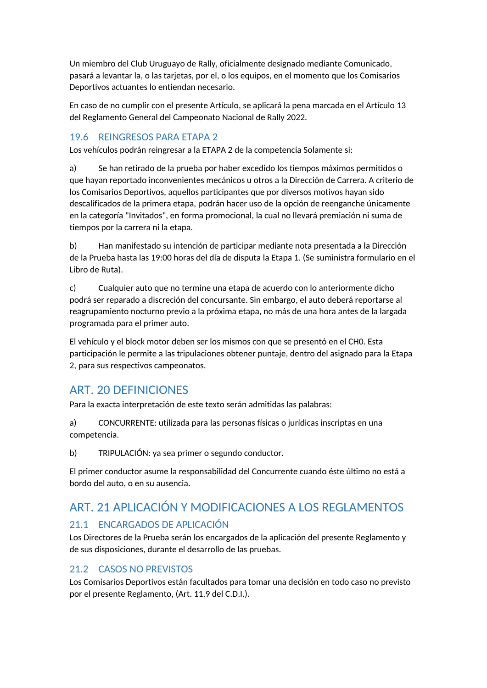Un miembro del Club Uruguayo de Rally, oficialmente designado mediante Comunicado, pasará a levantar la, o las tarjetas, por el, o los equipos, en el momento que los Comisarios Deportivos actuantes lo entiendan necesario.

En caso de no cumplir con el presente Artículo, se aplicará la pena marcada en el Artículo 13 del Reglamento General del Campeonato Nacional de Rally 2022.

## <span id="page-28-0"></span>19.6 REINGRESOS PARA ETAPA 2

Los vehículos podrán reingresar a la ETAPA 2 de la competencia Solamente si:

a) Se han retirado de la prueba por haber excedido los tiempos máximos permitidos o que hayan reportado inconvenientes mecánicos u otros a la Dirección de Carrera. A criterio de los Comisarios Deportivos, aquellos participantes que por diversos motivos hayan sido descalificados de la primera etapa, podrán hacer uso de la opción de reenganche únicamente en la categoría "Invitados", en forma promocional, la cual no llevará premiación ni suma de tiempos por la carrera ni la etapa.

b) Han manifestado su intención de participar mediante nota presentada a la Dirección de la Prueba hasta las 19:00 horas del día de disputa la Etapa 1. (Se suministra formulario en el Libro de Ruta).

c) Cualquier auto que no termine una etapa de acuerdo con lo anteriormente dicho podrá ser reparado a discreción del concursante. Sin embargo, el auto deberá reportarse al reagrupamiento nocturno previo a la próxima etapa, no más de una hora antes de la largada programada para el primer auto.

El vehículo y el block motor deben ser los mismos con que se presentó en el CH0. Esta participación le permite a las tripulaciones obtener puntaje, dentro del asignado para la Etapa 2, para sus respectivos campeonatos.

# <span id="page-28-1"></span>ART. 20 DEFINICIONES

Para la exacta interpretación de este texto serán admitidas las palabras:

a) CONCURRENTE: utilizada para las personas físicas o jurídicas inscriptas en una competencia.

b) TRIPULACIÓN: ya sea primer o segundo conductor.

El primer conductor asume la responsabilidad del Concurrente cuando éste último no está a bordo del auto, o en su ausencia.

# <span id="page-28-2"></span>ART. 21 APLICACIÓN Y MODIFICACIONES A LOS REGLAMENTOS

## <span id="page-28-3"></span>21.1 ENCARGADOS DE APLICACIÓN

Los Directores de la Prueba serán los encargados de la aplicación del presente Reglamento y de sus disposiciones, durante el desarrollo de las pruebas.

## <span id="page-28-4"></span>21.2 CASOS NO PREVISTOS

Los Comisarios Deportivos están facultados para tomar una decisión en todo caso no previsto por el presente Reglamento, (Art. 11.9 del C.D.I.).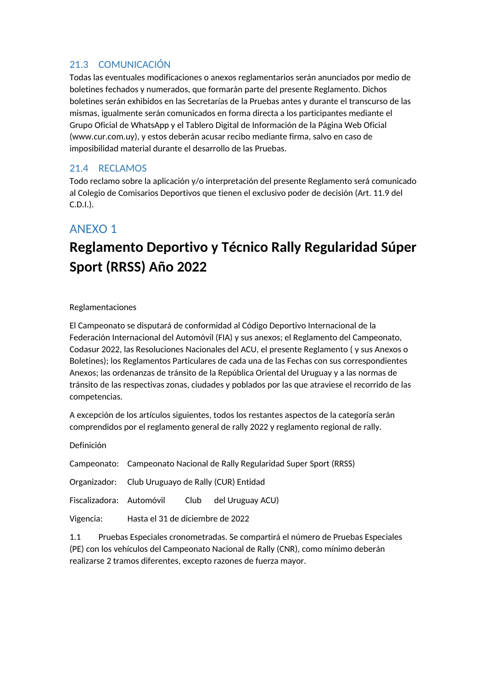## <span id="page-29-0"></span>21.3 COMUNICACIÓN

Todas las eventuales modificaciones o anexos reglamentarios serán anunciados por medio de boletines fechados y numerados, que formarán parte del presente Reglamento. Dichos boletines serán exhibidos en las Secretarías de la Pruebas antes y durante el transcurso de las mismas, igualmente serán comunicados en forma directa a los participantes mediante el Grupo Oficial de WhatsApp y el Tablero Digital de Información de la Página Web Oficial (www.cur.com.uy), y estos deberán acusar recibo mediante firma, salvo en caso de imposibilidad material durante el desarrollo de las Pruebas.

#### <span id="page-29-1"></span>21.4 RECLAMOS

Todo reclamo sobre la aplicación y/o interpretación del presente Reglamento será comunicado al Colegio de Comisarios Deportivos que tienen el exclusivo poder de decisión (Art. 11.9 del C.D.I.).

# <span id="page-29-2"></span>ANEXO 1

# **Reglamento Deportivo y Técnico Rally Regularidad Súper Sport (RRSS) Año 2022**

#### Reglamentaciones

El Campeonato se disputará de conformidad al Código Deportivo Internacional de la Federación Internacional del Automóvil (FIA) y sus anexos; el Reglamento del Campeonato, Codasur 2022, las Resoluciones Nacionales del ACU, el presente Reglamento ( y sus Anexos o Boletines); los Reglamentos Particulares de cada una de las Fechas con sus correspondientes Anexos; las ordenanzas de tránsito de la República Oriental del Uruguay y a las normas de tránsito de las respectivas zonas, ciudades y poblados por las que atraviese el recorrido de las competencias.

A excepción de los artículos siguientes, todos los restantes aspectos de la categoría serán comprendidos por el reglamento general de rally 2022 y reglamento regional de rally.

Definición

|           | Campeonato: Campeonato Nacional de Rally Regularidad Super Sport (RRSS) |  |                                                |
|-----------|-------------------------------------------------------------------------|--|------------------------------------------------|
|           | Organizador: Club Uruguayo de Rally (CUR) Entidad                       |  |                                                |
|           |                                                                         |  | Fiscalizadora: Automóvil Club del Uruguay ACU) |
| Vigencia: | Hasta el 31 de diciembre de 2022                                        |  |                                                |

1.1 Pruebas Especiales cronometradas. Se compartirá el número de Pruebas Especiales (PE) con los vehículos del Campeonato Nacional de Rally (CNR), como mínimo deberán realizarse 2 tramos diferentes, excepto razones de fuerza mayor.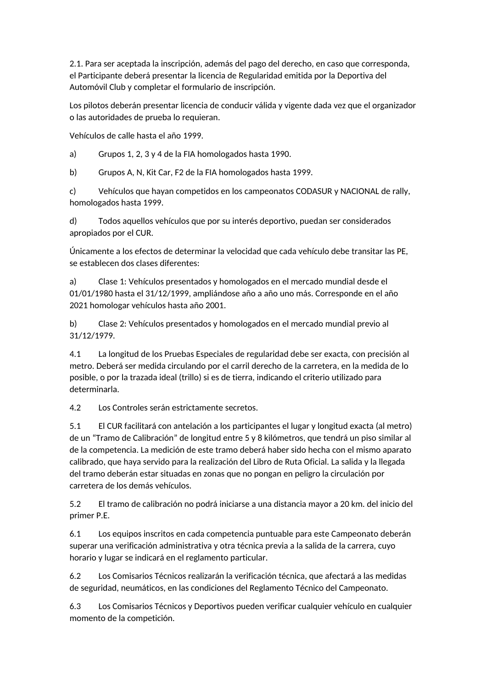2.1. Para ser aceptada la inscripción, además del pago del derecho, en caso que corresponda, el Participante deberá presentar la licencia de Regularidad emitida por la Deportiva del Automóvil Club y completar el formulario de inscripción.

Los pilotos deberán presentar licencia de conducir válida y vigente dada vez que el organizador o las autoridades de prueba lo requieran.

Vehículos de calle hasta el año 1999.

a) Grupos 1, 2, 3 y 4 de la FIA homologados hasta 1990.

b) Grupos A, N, Kit Car, F2 de la FIA homologados hasta 1999.

c) Vehículos que hayan competidos en los campeonatos CODASUR y NACIONAL de rally, homologados hasta 1999.

d) Todos aquellos vehículos que por su interés deportivo, puedan ser considerados apropiados por el CUR.

Únicamente a los efectos de determinar la velocidad que cada vehículo debe transitar las PE, se establecen dos clases diferentes:

a) Clase 1: Vehículos presentados y homologados en el mercado mundial desde el 01/01/1980 hasta el 31/12/1999, ampliándose año a año uno más. Corresponde en el año 2021 homologar vehículos hasta año 2001.

b) Clase 2: Vehículos presentados y homologados en el mercado mundial previo al 31/12/1979.

4.1 La longitud de los Pruebas Especiales de regularidad debe ser exacta, con precisión al metro. Deberá ser medida circulando por el carril derecho de la carretera, en la medida de lo posible, o por la trazada ideal (trillo) si es de tierra, indicando el criterio utilizado para determinarla.

4.2 Los Controles serán estrictamente secretos.

5.1 El CUR facilitará con antelación a los participantes el lugar y longitud exacta (al metro) de un "Tramo de Calibración" de longitud entre 5 y 8 kilómetros, que tendrá un piso similar al de la competencia. La medición de este tramo deberá haber sido hecha con el mismo aparato calibrado, que haya servido para la realización del Libro de Ruta Oficial. La salida y la llegada del tramo deberán estar situadas en zonas que no pongan en peligro la circulación por carretera de los demás vehículos.

5.2 El tramo de calibración no podrá iniciarse a una distancia mayor a 20 km. del inicio del primer P.E.

6.1 Los equipos inscritos en cada competencia puntuable para este Campeonato deberán superar una verificación administrativa y otra técnica previa a la salida de la carrera, cuyo horario y lugar se indicará en el reglamento particular.

6.2 Los Comisarios Técnicos realizarán la verificación técnica, que afectará a las medidas de seguridad, neumáticos, en las condiciones del Reglamento Técnico del Campeonato.

6.3 Los Comisarios Técnicos y Deportivos pueden verificar cualquier vehículo en cualquier momento de la competición.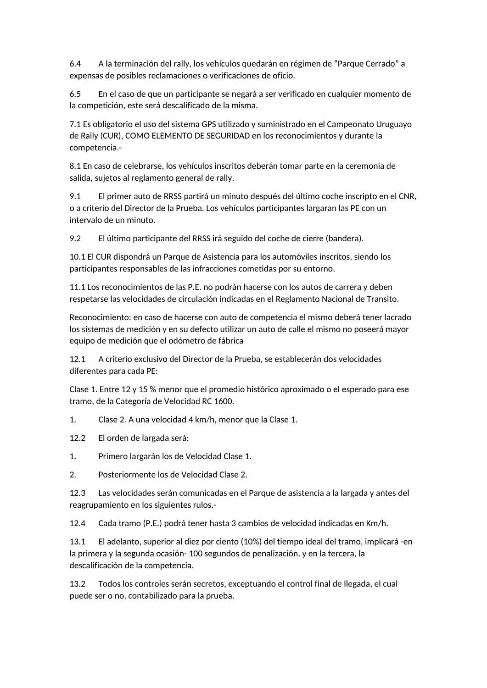6.4 A la terminación del rally, los vehículos quedarán en régimen de "Parque Cerrado" a expensas de posibles reclamaciones o verificaciones de oficio.

6.5 En el caso de que un participante se negará a ser verificado en cualquier momento de la competición, este será descalificado de la misma.

7.1 Es obligatorio el uso del sistema GPS utilizado y suministrado en el Campeonato Uruguayo de Rally (CUR), COMO ELEMENTO DE SEGURIDAD en los reconocimientos y durante la competencia.-

8.1 En caso de celebrarse, los vehículos inscritos deberán tomar parte en la ceremonia de salida, sujetos al reglamento general de rally.

9.1 El primer auto de RRSS partirá un minuto después del último coche inscripto en el CNR, o a criterio del Director de la Prueba. Los vehículos participantes largaran las PE con un intervalo de un minuto.

9.2 El último participante del RRSS irá seguido del coche de cierre (bandera).

10.1 El CUR dispondrá un Parque de Asistencia para los automóviles inscritos, siendo los participantes responsables de las infracciones cometidas por su entorno.

11.1 Los reconocimientos de las P.E. no podrán hacerse con los autos de carrera y deben respetarse las velocidades de circulación indicadas en el Reglamento Nacional de Transito.

Reconocimiento: en caso de hacerse con auto de competencia el mismo deberá tener lacrado los sistemas de medición y en su defecto utilizar un auto de calle el mismo no poseerá mayor equipo de medición que el odómetro de fábrica

12.1 A criterio exclusivo del Director de la Prueba, se establecerán dos velocidades diferentes para cada PE:

Clase 1. Entre 12 y 15 % menor que el promedio histórico aproximado o el esperado para ese tramo, de la Categoría de Velocidad RC 1600.

1. Clase 2. A una velocidad 4 km/h, menor que la Clase 1.

12.2 El orden de largada será:

1. Primero largarán los de Velocidad Clase 1.

2. Posteriormente los de Velocidad Clase 2.

12.3 Las velocidades serán comunicadas en el Parque de asistencia a la largada y antes del reagrupamiento en los siguientes rulos.-

12.4 Cada tramo (P.E.) podrá tener hasta 3 cambios de velocidad indicadas en Km/h.

13.1 El adelanto, superior al diez por ciento (10%) del tiempo ideal del tramo, implicará -en la primera y la segunda ocasión- 100 segundos de penalización, y en la tercera, la descalificación de la competencia.

13.2 Todos los controles serán secretos, exceptuando el control final de llegada, el cual puede ser o no, contabilizado para la prueba.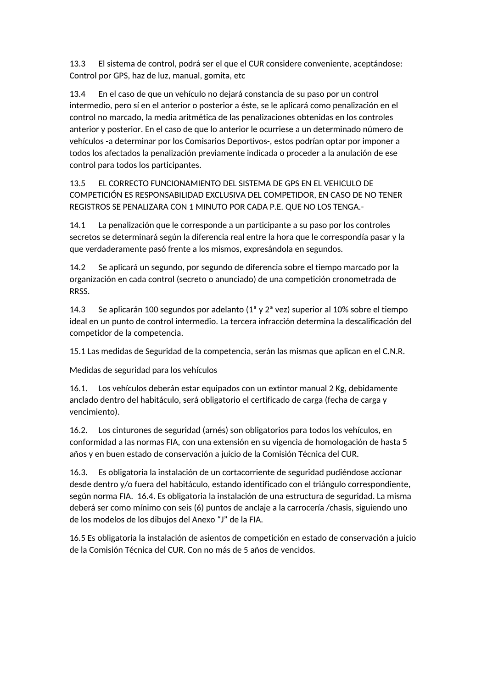13.3 El sistema de control, podrá ser el que el CUR considere conveniente, aceptándose: Control por GPS, haz de luz, manual, gomita, etc

13.4 En el caso de que un vehículo no dejará constancia de su paso por un control intermedio, pero sí en el anterior o posterior a éste, se le aplicará como penalización en el control no marcado, la media aritmética de las penalizaciones obtenidas en los controles anterior y posterior. En el caso de que lo anterior le ocurriese a un determinado número de vehículos -a determinar por los Comisarios Deportivos-, estos podrían optar por imponer a todos los afectados la penalización previamente indicada o proceder a la anulación de ese control para todos los participantes.

13.5 EL CORRECTO FUNCIONAMIENTO DEL SISTEMA DE GPS EN EL VEHICULO DE COMPETICIÓN ES RESPONSABILIDAD EXCLUSIVA DEL COMPETIDOR, EN CASO DE NO TENER REGISTROS SE PENALIZARA CON 1 MINUTO POR CADA P.E. QUE NO LOS TENGA.-

14.1 La penalización que le corresponde a un participante a su paso por los controles secretos se determinará según la diferencia real entre la hora que le correspondía pasar y la que verdaderamente pasó frente a los mismos, expresándola en segundos.

14.2 Se aplicará un segundo, por segundo de diferencia sobre el tiempo marcado por la organización en cada control (secreto o anunciado) de una competición cronometrada de RRSS.

14.3 Se aplicarán 100 segundos por adelanto  $(1^a \vee 2^a \vee 2^c)$  superior al 10% sobre el tiempo ideal en un punto de control intermedio. La tercera infracción determina la descalificación del competidor de la competencia.

15.1 Las medidas de Seguridad de la competencia, serán las mismas que aplican en el C.N.R.

Medidas de seguridad para los vehículos

16.1. Los vehículos deberán estar equipados con un extintor manual 2 Kg, debidamente anclado dentro del habitáculo, será obligatorio el certificado de carga (fecha de carga y vencimiento).

16.2. Los cinturones de seguridad (arnés) son obligatorios para todos los vehículos, en conformidad a las normas FIA, con una extensión en su vigencia de homologación de hasta 5 años y en buen estado de conservación a juicio de la Comisión Técnica del CUR.

16.3. Es obligatoria la instalación de un cortacorriente de seguridad pudiéndose accionar desde dentro y/o fuera del habitáculo, estando identificado con el triángulo correspondiente, según norma FIA. 16.4. Es obligatoria la instalación de una estructura de seguridad. La misma deberá ser como mínimo con seis (6) puntos de anclaje a la carrocería /chasis, siguiendo uno de los modelos de los dibujos del Anexo "J" de la FIA.

16.5 Es obligatoria la instalación de asientos de competición en estado de conservación a juicio de la Comisión Técnica del CUR. Con no más de 5 años de vencidos.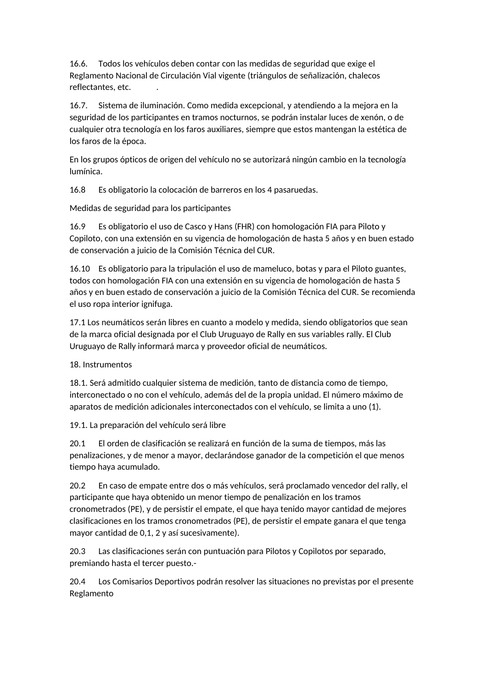16.6. Todos los vehículos deben contar con las medidas de seguridad que exige el Reglamento Nacional de Circulación Vial vigente (triángulos de señalización, chalecos reflectantes, etc.

16.7. Sistema de iluminación. Como medida excepcional, y atendiendo a la mejora en la seguridad de los participantes en tramos nocturnos, se podrán instalar luces de xenón, o de cualquier otra tecnología en los faros auxiliares, siempre que estos mantengan la estética de los faros de la época.

En los grupos ópticos de origen del vehículo no se autorizará ningún cambio en la tecnología lumínica.

16.8 Es obligatorio la colocación de barreros en los 4 pasaruedas.

Medidas de seguridad para los participantes

16.9 Es obligatorio el uso de Casco y Hans (FHR) con homologación FIA para Piloto y Copiloto, con una extensión en su vigencia de homologación de hasta 5 años y en buen estado de conservación a juicio de la Comisión Técnica del CUR.

16.10 Es obligatorio para la tripulación el uso de mameluco, botas y para el Piloto guantes, todos con homologación FIA con una extensión en su vigencia de homologación de hasta 5 años y en buen estado de conservación a juicio de la Comisión Técnica del CUR. Se recomienda el uso ropa interior ignifuga.

17.1 Los neumáticos serán libres en cuanto a modelo y medida, siendo obligatorios que sean de la marca oficial designada por el Club Uruguayo de Rally en sus variables rally. El Club Uruguayo de Rally informará marca y proveedor oficial de neumáticos.

18. Instrumentos

18.1. Será admitido cualquier sistema de medición, tanto de distancia como de tiempo, interconectado o no con el vehículo, además del de la propia unidad. El número máximo de aparatos de medición adicionales interconectados con el vehículo, se limita a uno (1).

19.1. La preparación del vehículo será libre

20.1 El orden de clasificación se realizará en función de la suma de tiempos, más las penalizaciones, y de menor a mayor, declarándose ganador de la competición el que menos tiempo haya acumulado.

20.2 En caso de empate entre dos o más vehículos, será proclamado vencedor del rally, el participante que haya obtenido un menor tiempo de penalización en los tramos cronometrados (PE), y de persistir el empate, el que haya tenido mayor cantidad de mejores clasificaciones en los tramos cronometrados (PE), de persistir el empate ganara el que tenga mayor cantidad de 0,1, 2 y así sucesivamente).

20.3 Las clasificaciones serán con puntuación para Pilotos y Copilotos por separado, premiando hasta el tercer puesto.-

20.4 Los Comisarios Deportivos podrán resolver las situaciones no previstas por el presente Reglamento